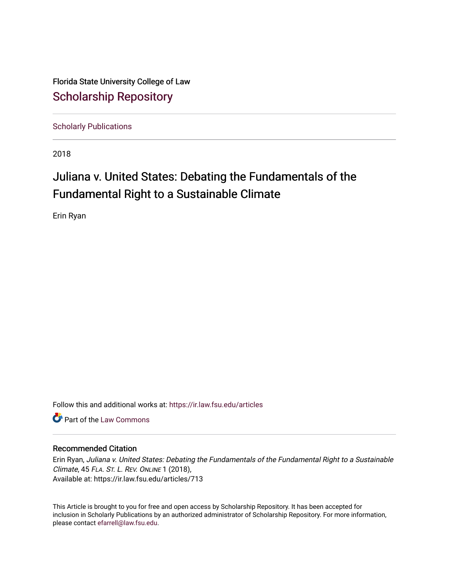Florida State University College of Law [Scholarship Repository](https://ir.law.fsu.edu/) 

[Scholarly Publications](https://ir.law.fsu.edu/articles) 

2018

# Juliana v. United States: Debating the Fundamentals of the Fundamental Right to a Sustainable Climate

Erin Ryan

Follow this and additional works at: [https://ir.law.fsu.edu/articles](https://ir.law.fsu.edu/articles?utm_source=ir.law.fsu.edu%2Farticles%2F713&utm_medium=PDF&utm_campaign=PDFCoverPages) 

**C** Part of the [Law Commons](https://network.bepress.com/hgg/discipline/578?utm_source=ir.law.fsu.edu%2Farticles%2F713&utm_medium=PDF&utm_campaign=PDFCoverPages)

## Recommended Citation

Erin Ryan, Juliana v. United States: Debating the Fundamentals of the Fundamental Right to a Sustainable Climate, 45 FLA. ST. L. REV. ONLINE 1 (2018), Available at: https://ir.law.fsu.edu/articles/713

This Article is brought to you for free and open access by Scholarship Repository. It has been accepted for inclusion in Scholarly Publications by an authorized administrator of Scholarship Repository. For more information, please contact [efarrell@law.fsu.edu.](mailto:efarrell@law.fsu.edu)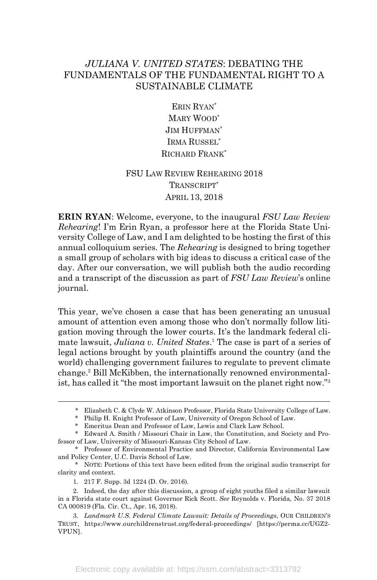## *JULIANA V. UNITED STATES*: DEBATING THE FUNDAMENTALS OF THE FUNDAMENTAL RIGHT TO A SUSTAINABLE CLIMATE

ERIN RYAN\* MARY WOOD\* JIM HUFFMAN\* IRMA RUSSEL\* RICHARD FRANK\*

# FSU LAW REVIEW REHEARING 2018 TRANSCRIPT\* APRIL 13, 2018

**ERIN RYAN**: Welcome, everyone, to the inaugural *FSU Law Review Rehearing*! I'm Erin Ryan, a professor here at the Florida State University College of Law, and I am delighted to be hosting the first of this annual colloquium series. The *Rehearing* is designed to bring together a small group of scholars with big ideas to discuss a critical case of the day. After our conversation, we will publish both the audio recording and a transcript of the discussion as part of *FSU Law Review*'s online journal.

This year, we've chosen a case that has been generating an unusual amount of attention even among those who don't normally follow litigation moving through the lower courts. It's the landmark federal climate lawsuit, *Juliana v. United States*. <sup>1</sup> The case is part of a series of legal actions brought by youth plaintiffs around the country (and the world) challenging government failures to regulate to prevent climate change. <sup>2</sup> Bill McKibben, the internationally renowned environmentalist, has called it "the most important lawsuit on the planet right now."3

 <sup>\*</sup> Elizabeth C. & Clyde W. Atkinson Professor, Florida State University College of Law.

<sup>\*</sup> Philip H. Knight Professor of Law, University of Oregon School of Law.

<sup>\*</sup> Emeritus Dean and Professor of Law, Lewis and Clark Law School.

<sup>\*</sup> Edward A. Smith / Missouri Chair in Law, the Constitution, and Society and Professor of Law, University of Missouri-Kansas City School of Law.

<sup>\*</sup> Professor of Environmental Practice and Director, California Environmental Law and Policy Center, U.C. Davis School of Law.

<sup>\*</sup> NOTE: Portions of this text have been edited from the original audio transcript for clarity and context.

<sup>1.</sup> 217 F. Supp. 3d 1224 (D. Or. 2016).

<sup>2.</sup> Indeed, the day after this discussion, a group of eight youths filed a similar lawsuit in a Florida state court against Governor Rick Scott. *See* Reynolds v. Florida, No. 37 2018 CA 000819 (Fla. Cir. Ct., Apr. 16, 2018).

<sup>3.</sup> *Landmark U.S. Federal Climate Lawsuit: Details of Proceedings*, OUR CHILDREN'S TRUST, https://www.ourchildrenstrust.org/federal-proceedings/ [https://perma.cc/UGZ2- VPUN].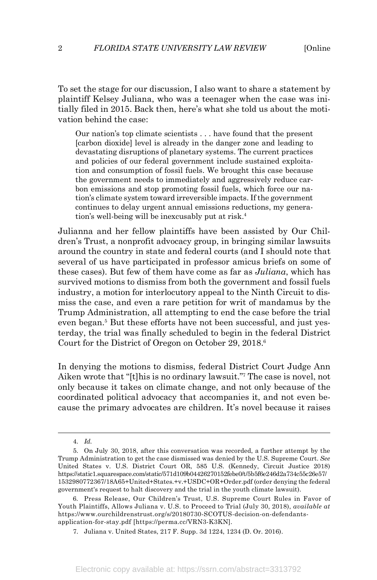To set the stage for our discussion, I also want to share a statement by plaintiff Kelsey Juliana, who was a teenager when the case was initially filed in 2015. Back then, here's what she told us about the motivation behind the case:

Our nation's top climate scientists . . . have found that the present [carbon dioxide] level is already in the danger zone and leading to devastating disruptions of planetary systems. The current practices and policies of our federal government include sustained exploitation and consumption of fossil fuels. We brought this case because the government needs to immediately and aggressively reduce carbon emissions and stop promoting fossil fuels, which force our nation's climate system toward irreversible impacts. If the government continues to delay urgent annual emissions reductions, my generation's well-being will be inexcusably put at risk.<sup>4</sup>

Julianna and her fellow plaintiffs have been assisted by Our Children's Trust, a nonprofit advocacy group, in bringing similar lawsuits around the country in state and federal courts (and I should note that several of us have participated in professor amicus briefs on some of these cases). But few of them have come as far as *Juliana*, which has survived motions to dismiss from both the government and fossil fuels industry, a motion for interlocutory appeal to the Ninth Circuit to dismiss the case, and even a rare petition for writ of mandamus by the Trump Administration, all attempting to end the case before the trial even began. <sup>5</sup> But these efforts have not been successful, and just yesterday, the trial was finally scheduled to begin in the federal District Court for the District of Oregon on October 29, 2018. 6

In denying the motions to dismiss, federal District Court Judge Ann Aiken wrote that "[t]his is no ordinary lawsuit."7 The case is novel, not only because it takes on climate change, and not only because of the coordinated political advocacy that accompanies it, and not even because the primary advocates are children. It's novel because it raises

 <sup>4.</sup> *Id.*

<sup>5.</sup> On July 30, 2018, after this conversation was recorded, a further attempt by the Trump Administration to get the case dismissed was denied by the U.S. Supreme Court. *See* United States v. U.S. District Court OR, 585 U.S. (Kennedy, Circuit Justice 2018) https://static1.squarespace.com/static/571d109b04426270152febe0/t/5b5f6e246d2a734c55c26e57/ 1532980772367/18A65+United+States.+v.+USDC+OR+Order.pdf (order denying the federal government's request to halt discovery and the trial in the youth climate lawsuit).

<sup>6.</sup> Press Release, Our Children's Trust, U.S. Supreme Court Rules in Favor of Youth Plaintiffs, Allows Juliana v. U.S. to Proceed to Trial (July 30, 2018), *available at* https://www.ourchildrenstrust.org/s/20180730-SCOTUS-decision-on-defendantsapplication-for-stay.pdf [https://perma.cc/VRN3-K3KN].

<sup>7.</sup> Juliana v. United States, 217 F. Supp. 3d 1224, 1234 (D. Or. 2016).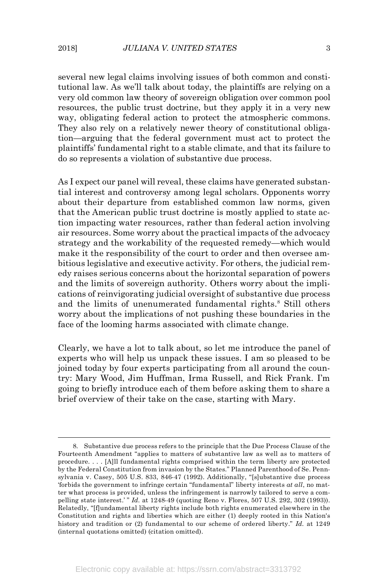several new legal claims involving issues of both common and constitutional law. As we'll talk about today, the plaintiffs are relying on a very old common law theory of sovereign obligation over common pool resources, the public trust doctrine, but they apply it in a very new way, obligating federal action to protect the atmospheric commons. They also rely on a relatively newer theory of constitutional obligation—arguing that the federal government must act to protect the plaintiffs' fundamental right to a stable climate, and that its failure to do so represents a violation of substantive due process.

As I expect our panel will reveal, these claims have generated substantial interest and controversy among legal scholars. Opponents worry about their departure from established common law norms, given that the American public trust doctrine is mostly applied to state action impacting water resources, rather than federal action involving air resources. Some worry about the practical impacts of the advocacy strategy and the workability of the requested remedy—which would make it the responsibility of the court to order and then oversee ambitious legislative and executive activity. For others, the judicial remedy raises serious concerns about the horizontal separation of powers and the limits of sovereign authority. Others worry about the implications of reinvigorating judicial oversight of substantive due process and the limits of unenumerated fundamental rights.<sup>8</sup> Still others worry about the implications of not pushing these boundaries in the face of the looming harms associated with climate change.

Clearly, we have a lot to talk about, so let me introduce the panel of experts who will help us unpack these issues. I am so pleased to be joined today by four experts participating from all around the country: Mary Wood, Jim Huffman, Irma Russell, and Rick Frank. I'm going to briefly introduce each of them before asking them to share a brief overview of their take on the case, starting with Mary.

 <sup>8.</sup> Substantive due process refers to the principle that the Due Process Clause of the Fourteenth Amendment "applies to matters of substantive law as well as to matters of procedure. . . . [A]ll fundamental rights comprised within the term liberty are protected by the Federal Constitution from invasion by the States." Planned Parenthood of Se. Pennsylvania v. Casey, 505 U.S. 833, 846-47 (1992). Additionally, "[s]ubstantive due process 'forbids the government to infringe certain "fundamental" liberty interests *at all*, no matter what process is provided, unless the infringement is narrowly tailored to serve a compelling state interest.' " *Id.* at 1248-49 (quoting Reno v. Flores, 507 U.S. 292, 302 (1993)). Relatedly, "[f]undamental liberty rights include both rights enumerated elsewhere in the Constitution and rights and liberties which are either (1) deeply rooted in this Nation's history and tradition or (2) fundamental to our scheme of ordered liberty." *Id.* at 1249 (internal quotations omitted) (citation omitted).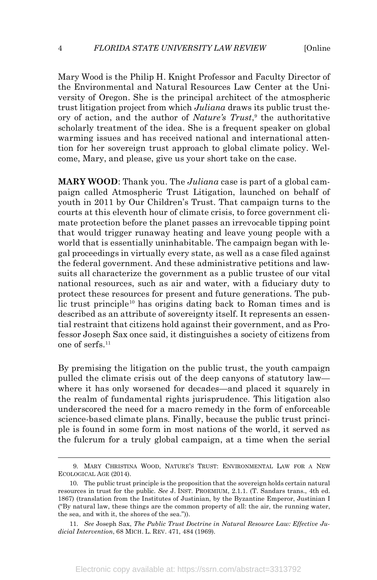Mary Wood is the Philip H. Knight Professor and Faculty Director of the Environmental and Natural Resources Law Center at the University of Oregon. She is the principal architect of the atmospheric trust litigation project from which *Juliana* draws its public trust theory of action, and the author of *Nature's Trust*, <sup>9</sup> the authoritative scholarly treatment of the idea. She is a frequent speaker on global warming issues and has received national and international attention for her sovereign trust approach to global climate policy. Welcome, Mary, and please, give us your short take on the case.

**MARY WOOD**: Thank you. The *Juliana* case is part of a global campaign called Atmospheric Trust Litigation, launched on behalf of youth in 2011 by Our Children's Trust. That campaign turns to the courts at this eleventh hour of climate crisis, to force government climate protection before the planet passes an irrevocable tipping point that would trigger runaway heating and leave young people with a world that is essentially uninhabitable. The campaign began with legal proceedings in virtually every state, as well as a case filed against the federal government. And these administrative petitions and lawsuits all characterize the government as a public trustee of our vital national resources, such as air and water, with a fiduciary duty to protect these resources for present and future generations. The public trust principle<sup>10</sup> has origins dating back to Roman times and is described as an attribute of sovereignty itself. It represents an essential restraint that citizens hold against their government, and as Professor Joseph Sax once said, it distinguishes a society of citizens from one of serfs. 11

By premising the litigation on the public trust, the youth campaign pulled the climate crisis out of the deep canyons of statutory law where it has only worsened for decades—and placed it squarely in the realm of fundamental rights jurisprudence. This litigation also underscored the need for a macro remedy in the form of enforceable science-based climate plans. Finally, because the public trust principle is found in some form in most nations of the world, it served as the fulcrum for a truly global campaign, at a time when the serial

 <sup>9.</sup> MARY CHRISTINA WOOD, NATURE'S TRUST: ENVIRONMENTAL LAW FOR A NEW ECOLOGICAL AGE (2014).

<sup>10.</sup> The public trust principle is the proposition that the sovereign holds certain natural resources in trust for the public. *See* J. INST. PROEMIUM, 2.1.1. (T. Sandars trans., 4th ed. 1867) (translation from the Institutes of Justinian, by the Byzantine Emperor, Justinian I ("By natural law, these things are the common property of all: the air, the running water, the sea, and with it, the shores of the sea.")).

<sup>11.</sup> *See* Joseph Sax, *The Public Trust Doctrine in Natural Resource Law: Effective Judicial Intervention*, 68 MICH. L. REV. 471, 484 (1969).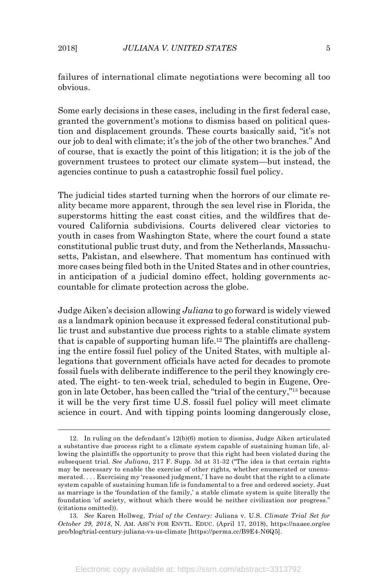failures of international climate negotiations were becoming all too obvious.

Some early decisions in these cases, including in the first federal case, granted the government's motions to dismiss based on political question and displacement grounds. These courts basically said, "it's not our job to deal with climate; it's the job of the other two branches." And of course, that is exactly the point of this litigation; it is the job of the government trustees to protect our climate system—but instead, the agencies continue to push a catastrophic fossil fuel policy.

The judicial tides started turning when the horrors of our climate reality became more apparent, through the sea level rise in Florida, the superstorms hitting the east coast cities, and the wildfires that devoured California subdivisions. Courts delivered clear victories to youth in cases from Washington State, where the court found a state constitutional public trust duty, and from the Netherlands, Massachusetts, Pakistan, and elsewhere. That momentum has continued with more cases being filed both in the United States and in other countries, in anticipation of a judicial domino effect, holding governments accountable for climate protection across the globe.

Judge Aiken's decision allowing *Juliana* to go forward is widely viewed as a landmark opinion because it expressed federal constitutional public trust and substantive due process rights to a stable climate system that is capable of supporting human life.12 The plaintiffs are challenging the entire fossil fuel policy of the United States, with multiple allegations that government officials have acted for decades to promote fossil fuels with deliberate indifference to the peril they knowingly created. The eight- to ten-week trial, scheduled to begin in Eugene, Oregon in late October, has been called the "trial of the century,"13 because it will be the very first time U.S. fossil fuel policy will meet climate science in court. And with tipping points looming dangerously close,

 <sup>12.</sup> In ruling on the defendant's 12(b)(6) motion to dismiss, Judge Aiken articulated a substantive due process right to a climate system capable of sustaining human life, allowing the plaintiffs the opportunity to prove that this right had been violated during the subsequent trial. *See Juliana*, 217 F. Supp. 3d at 31-32 ("The idea is that certain rights may be necessary to enable the exercise of other rights, whether enumerated or unenumerated. . . . Exercising my 'reasoned judgment,' I have no doubt that the right to a climate system capable of sustaining human life is fundamental to a free and ordered society. Just as marriage is the 'foundation of the family,' a stable climate system is quite literally the foundation 'of society, without which there would be neither civilization nor progress." (citations omitted)).

<sup>13.</sup> *See* Karen Hollweg, *Trial of the Century:* Juliana v. U.S. *Climate Trial Set for October 29, 2018*, N. AM. ASS'N FOR ENVTL. EDUC. (April 17, 2018), https://naaee.org/ee pro/blog/trial-century-juliana-vs-us-climate [https://perma.cc/B9E4-N6Q5].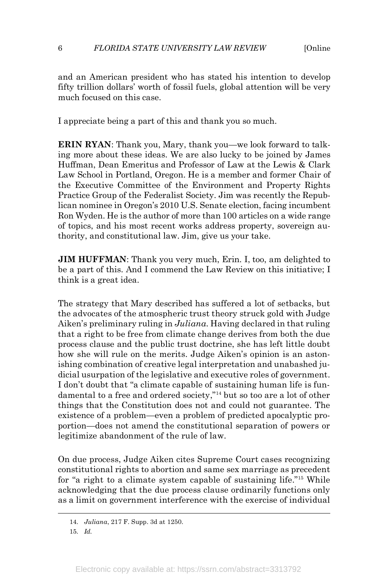#### 6 *FLORIDA STATE UNIVERSITY LAW REVIEW* [Online

and an American president who has stated his intention to develop fifty trillion dollars' worth of fossil fuels, global attention will be very much focused on this case.

I appreciate being a part of this and thank you so much.

**ERIN RYAN**: Thank you, Mary, thank you—we look forward to talking more about these ideas. We are also lucky to be joined by James Huffman, Dean Emeritus and Professor of Law at the Lewis & Clark Law School in Portland, Oregon. He is a member and former Chair of the Executive Committee of the Environment and Property Rights Practice Group of the Federalist Society. Jim was recently the Republican nominee in Oregon's 2010 U.S. Senate election, facing incumbent Ron Wyden. He is the author of more than 100 articles on a wide range of topics, and his most recent works address property, sovereign authority, and constitutional law. Jim, give us your take.

**JIM HUFFMAN**: Thank you very much, Erin. I, too, am delighted to be a part of this. And I commend the Law Review on this initiative; I think is a great idea.

The strategy that Mary described has suffered a lot of setbacks, but the advocates of the atmospheric trust theory struck gold with Judge Aiken's preliminary ruling in *Juliana*. Having declared in that ruling that a right to be free from climate change derives from both the due process clause and the public trust doctrine, she has left little doubt how she will rule on the merits. Judge Aiken's opinion is an astonishing combination of creative legal interpretation and unabashed judicial usurpation of the legislative and executive roles of government. I don't doubt that "a climate capable of sustaining human life is fundamental to a free and ordered society,"14 but so too are a lot of other things that the Constitution does not and could not guarantee. The existence of a problem—even a problem of predicted apocalyptic proportion—does not amend the constitutional separation of powers or legitimize abandonment of the rule of law.

On due process, Judge Aiken cites Supreme Court cases recognizing constitutional rights to abortion and same sex marriage as precedent for "a right to a climate system capable of sustaining life."15 While acknowledging that the due process clause ordinarily functions only as a limit on government interference with the exercise of individual

 <sup>14.</sup> *Juliana*, 217 F. Supp. 3d at 1250.

<sup>15.</sup> *Id.*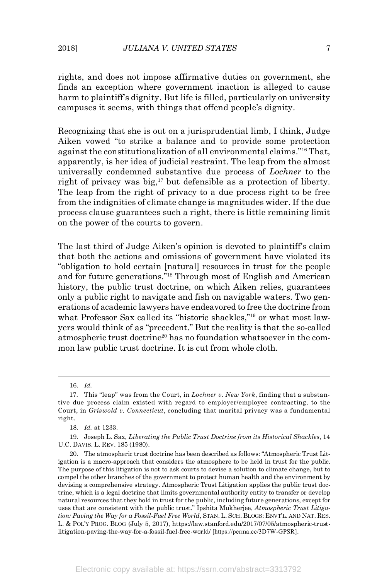rights, and does not impose affirmative duties on government, she finds an exception where government inaction is alleged to cause harm to plaintiff's dignity. But life is filled, particularly on university campuses it seems, with things that offend people's dignity.

Recognizing that she is out on a jurisprudential limb, I think, Judge Aiken vowed "to strike a balance and to provide some protection against the constitutionalization of all environmental claims."16 That, apparently, is her idea of judicial restraint. The leap from the almost universally condemned substantive due process of *Lochner* to the right of privacy was big, <sup>17</sup> but defensible as a protection of liberty. The leap from the right of privacy to a due process right to be free from the indignities of climate change is magnitudes wider. If the due process clause guarantees such a right, there is little remaining limit on the power of the courts to govern.

The last third of Judge Aiken's opinion is devoted to plaintiff's claim that both the actions and omissions of government have violated its "obligation to hold certain [natural] resources in trust for the people and for future generations."18 Through most of English and American history, the public trust doctrine, on which Aiken relies, guarantees only a public right to navigate and fish on navigable waters. Two generations of academic lawyers have endeavored to free the doctrine from what Professor Sax called its "historic shackles,"19 or what most lawyers would think of as "precedent." But the reality is that the so-called atmospheric trust doctrine<sup>20</sup> has no foundation whatsoever in the common law public trust doctrine. It is cut from whole cloth.

 <sup>16.</sup> *Id.*

<sup>17.</sup> This "leap" was from the Court, in *Lochner v. New York*, finding that a substantive due process claim existed with regard to employer/employee contracting, to the Court, in *Griswold v. Connecticut*, concluding that marital privacy was a fundamental right.

<sup>18.</sup> *Id.* at 1233.

<sup>19.</sup> Joseph L. Sax, *Liberating the Public Trust Doctrine from its Historical Shackles*, 14 U.C. DAVIS. L. REV. 185 (1980).

<sup>20.</sup> The atmospheric trust doctrine has been described as follows: "Atmospheric Trust Litigation is a macro-approach that considers the atmosphere to be held in trust for the public. The purpose of this litigation is not to ask courts to devise a solution to climate change, but to compel the other branches of the government to protect human health and the environment by devising a comprehensive strategy. Atmospheric Trust Litigation applies the public trust doctrine, which is a legal doctrine that limits governmental authority entity to transfer or develop natural resources that they hold in trust for the public, including future generations, except for uses that are consistent with the public trust." Ipshita Mukherjee, *Atmospheric Trust Litigation: Paving the Way for a Fossil-Fuel Free World*, STAN. L. SCH. BLOGS: ENVT'L. AND NAT. RES. L. & POL'Y PROG. BLOG (July 5, 2017), https://law.stanford.edu/2017/07/05/atmospheric-trustlitigation-paving-the-way-for-a-fossil-fuel-free-world/ [https://perma.cc/3D7W-GPSR].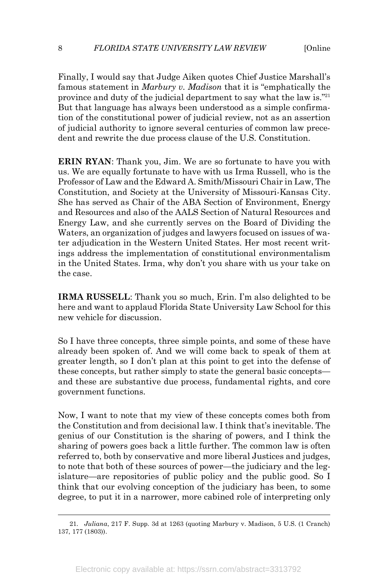Finally, I would say that Judge Aiken quotes Chief Justice Marshall's famous statement in *Marbury v. Madison* that it is "emphatically the province and duty of the judicial department to say what the law is."21 But that language has always been understood as a simple confirmation of the constitutional power of judicial review, not as an assertion of judicial authority to ignore several centuries of common law precedent and rewrite the due process clause of the U.S. Constitution.

**ERIN RYAN**: Thank you, Jim. We are so fortunate to have you with us. We are equally fortunate to have with us Irma Russell, who is the Professor of Law and the Edward A. Smith/Missouri Chair in Law, The Constitution, and Society at the University of Missouri-Kansas City. She has served as Chair of the ABA Section of Environment, Energy and Resources and also of the AALS Section of Natural Resources and Energy Law, and she currently serves on the Board of Dividing the Waters, an organization of judges and lawyers focused on issues of water adjudication in the Western United States. Her most recent writings address the implementation of constitutional environmentalism in the United States. Irma, why don't you share with us your take on the case.

**IRMA RUSSELL**: Thank you so much, Erin. I'm also delighted to be here and want to applaud Florida State University Law School for this new vehicle for discussion.

So I have three concepts, three simple points, and some of these have already been spoken of. And we will come back to speak of them at greater length, so I don't plan at this point to get into the defense of these concepts, but rather simply to state the general basic concepts and these are substantive due process, fundamental rights, and core government functions.

Now, I want to note that my view of these concepts comes both from the Constitution and from decisional law. I think that's inevitable. The genius of our Constitution is the sharing of powers, and I think the sharing of powers goes back a little further. The common law is often referred to, both by conservative and more liberal Justices and judges, to note that both of these sources of power—the judiciary and the legislature—are repositories of public policy and the public good. So I think that our evolving conception of the judiciary has been, to some degree, to put it in a narrower, more cabined role of interpreting only

 <sup>21.</sup> *Juliana*, 217 F. Supp. 3d at 1263 (quoting Marbury v. Madison, 5 U.S. (1 Cranch) 137, 177 (1803)).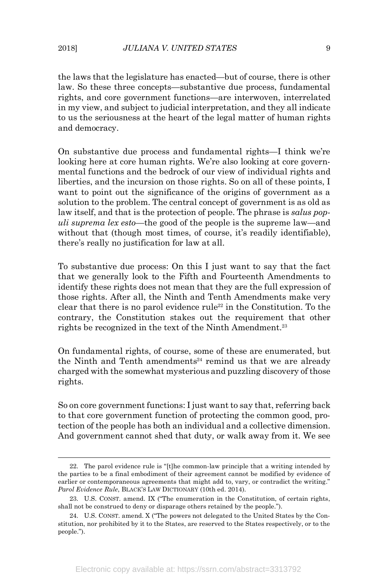the laws that the legislature has enacted—but of course, there is other law. So these three concepts—substantive due process, fundamental rights, and core government functions—are interwoven, interrelated in my view, and subject to judicial interpretation, and they all indicate to us the seriousness at the heart of the legal matter of human rights and democracy.

On substantive due process and fundamental rights—I think we're looking here at core human rights. We're also looking at core governmental functions and the bedrock of our view of individual rights and liberties, and the incursion on those rights. So on all of these points, I want to point out the significance of the origins of government as a solution to the problem. The central concept of government is as old as law itself, and that is the protection of people. The phrase is *salus populi suprema lex esto*—the good of the people is the supreme law—and without that (though most times, of course, it's readily identifiable), there's really no justification for law at all.

To substantive due process: On this I just want to say that the fact that we generally look to the Fifth and Fourteenth Amendments to identify these rights does not mean that they are the full expression of those rights. After all, the Ninth and Tenth Amendments make very clear that there is no parol evidence rule<sup>22</sup> in the Constitution. To the contrary, the Constitution stakes out the requirement that other rights be recognized in the text of the Ninth Amendment. 23

On fundamental rights, of course, some of these are enumerated, but the Ninth and Tenth amendments<sup>24</sup> remind us that we are already charged with the somewhat mysterious and puzzling discovery of those rights.

So on core government functions: I just want to say that, referring back to that core government function of protecting the common good, protection of the people has both an individual and a collective dimension. And government cannot shed that duty, or walk away from it. We see

 <sup>22.</sup> The parol evidence rule is "[t]he common-law principle that a writing intended by the parties to be a final embodiment of their agreement cannot be modified by evidence of earlier or contemporaneous agreements that might add to, vary, or contradict the writing." *Parol Evidence Rule*, BLACK'S LAW DICTIONARY (10th ed. 2014).

<sup>23.</sup> U.S. CONST. amend. IX ("The enumeration in the Constitution, of certain rights, shall not be construed to deny or disparage others retained by the people.").

<sup>24.</sup> U.S. CONST. amend. X ("The powers not delegated to the United States by the Constitution, nor prohibited by it to the States, are reserved to the States respectively, or to the people.").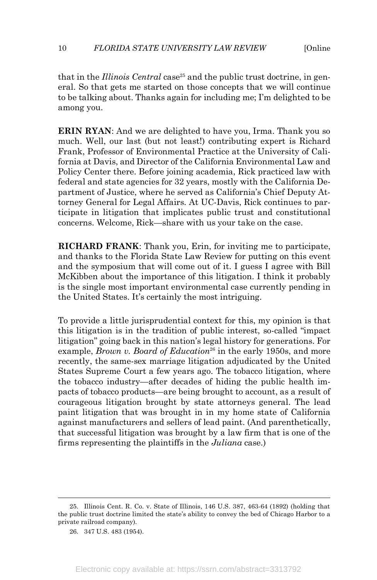that in the *Illinois Central* case<sup>25</sup> and the public trust doctrine, in general. So that gets me started on those concepts that we will continue to be talking about. Thanks again for including me; I'm delighted to be among you.

**ERIN RYAN**: And we are delighted to have you, Irma. Thank you so much. Well, our last (but not least!) contributing expert is Richard Frank, Professor of Environmental Practice at the University of California at Davis, and Director of the California Environmental Law and Policy Center there. Before joining academia, Rick practiced law with federal and state agencies for 32 years, mostly with the California Department of Justice, where he served as California's Chief Deputy Attorney General for Legal Affairs. At UC-Davis, Rick continues to participate in litigation that implicates public trust and constitutional concerns. Welcome, Rick—share with us your take on the case.

**RICHARD FRANK**: Thank you, Erin, for inviting me to participate, and thanks to the Florida State Law Review for putting on this event and the symposium that will come out of it. I guess I agree with Bill McKibben about the importance of this litigation. I think it probably is the single most important environmental case currently pending in the United States. It's certainly the most intriguing.

To provide a little jurisprudential context for this, my opinion is that this litigation is in the tradition of public interest, so-called "impact litigation" going back in this nation's legal history for generations. For example, *Brown v. Board of Education*<sup>26</sup> in the early 1950s, and more recently, the same-sex marriage litigation adjudicated by the United States Supreme Court a few years ago. The tobacco litigation, where the tobacco industry—after decades of hiding the public health impacts of tobacco products—are being brought to account, as a result of courageous litigation brought by state attorneys general. The lead paint litigation that was brought in in my home state of California against manufacturers and sellers of lead paint. (And parenthetically, that successful litigation was brought by a law firm that is one of the firms representing the plaintiffs in the *Juliana* case.)

 <sup>25.</sup> Illinois Cent. R. Co. v. State of Illinois, 146 U.S. 387, 463-64 (1892) (holding that the public trust doctrine limited the state's ability to convey the bed of Chicago Harbor to a private railroad company).

<sup>26.</sup> 347 U.S. 483 (1954).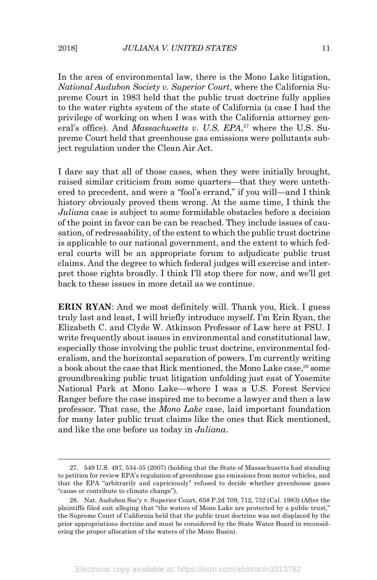In the area of environmental law, there is the Mono Lake litigation, *National Audubon Society v. Superior Court*, where the California Supreme Court in 1983 held that the public trust doctrine fully applies to the water rights system of the state of California (a case I had the privilege of working on when I was with the California attorney general's office). And *Massachusetts v. U.S. EPA*, <sup>27</sup> where the U.S. Supreme Court held that greenhouse gas emissions were pollutants subject regulation under the Clean Air Act.

I dare say that all of those cases, when they were initially brought, raised similar criticism from some quarters—that they were untethered to precedent, and were a "fool's errand," if you will—and I think history obviously proved them wrong. At the same time, I think the *Juliana* case is subject to some formidable obstacles before a decision of the point in favor can be can be reached. They include issues of causation, of redressability, of the extent to which the public trust doctrine is applicable to our national government, and the extent to which federal courts will be an appropriate forum to adjudicate public trust claims. And the degree to which federal judges will exercise and interpret those rights broadly. I think I'll stop there for now, and we'll get back to these issues in more detail as we continue.

**ERIN RYAN**: And we most definitely will. Thank you, Rick. I guess truly last and least, I will briefly introduce myself. I'm Erin Ryan, the Elizabeth C. and Clyde W. Atkinson Professor of Law here at FSU. I write frequently about issues in environmental and constitutional law, especially those involving the public trust doctrine, environmental federalism, and the horizontal separation of powers. I'm currently writing a book about the case that Rick mentioned, the Mono Lake case, <sup>28</sup> some groundbreaking public trust litigation unfolding just east of Yosemite National Park at Mono Lake—where I was a U.S. Forest Service Ranger before the case inspired me to become a lawyer and then a law professor. That case, the *Mono Lake* case, laid important foundation for many later public trust claims like the ones that Rick mentioned, and like the one before us today in *Juliana*.

 <sup>27.</sup> 549 U.S. 497, 534-35 (2007) (holding that the State of Massachusetts had standing to petition for review EPA's regulation of greenhouse gas emissions from motor vehicles, and that the EPA "arbitrarily and capriciously" refused to decide whether greenhouse gases "cause or contribute to climate change").

<sup>28.</sup> Nat. Audubon Soc'y v. Superior Court, 658 P.2d 709, 712, 732 (Cal. 1983) (After the plaintiffs filed suit alleging that "the waters of Mono Lake are protected by a public trust," the Supreme Court of California held that the public trust doctrine was not displaced by the prior appropriations doctrine and must be considered by the State Water Board in reconsidering the proper allocation of the waters of the Mono Basin).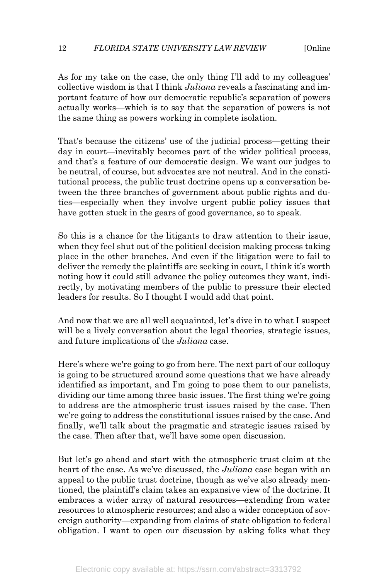As for my take on the case, the only thing I'll add to my colleagues' collective wisdom is that I think *Juliana* reveals a fascinating and important feature of how our democratic republic's separation of powers actually works—which is to say that the separation of powers is not the same thing as powers working in complete isolation.

That's because the citizens' use of the judicial process—getting their day in court—inevitably becomes part of the wider political process, and that's a feature of our democratic design. We want our judges to be neutral, of course, but advocates are not neutral. And in the constitutional process, the public trust doctrine opens up a conversation between the three branches of government about public rights and duties—especially when they involve urgent public policy issues that have gotten stuck in the gears of good governance, so to speak.

So this is a chance for the litigants to draw attention to their issue, when they feel shut out of the political decision making process taking place in the other branches. And even if the litigation were to fail to deliver the remedy the plaintiffs are seeking in court, I think it's worth noting how it could still advance the policy outcomes they want, indirectly, by motivating members of the public to pressure their elected leaders for results. So I thought I would add that point.

And now that we are all well acquainted, let's dive in to what I suspect will be a lively conversation about the legal theories, strategic issues, and future implications of the *Juliana* case.

Here's where we're going to go from here. The next part of our colloquy is going to be structured around some questions that we have already identified as important, and I'm going to pose them to our panelists, dividing our time among three basic issues. The first thing we're going to address are the atmospheric trust issues raised by the case. Then we're going to address the constitutional issues raised by the case. And finally, we'll talk about the pragmatic and strategic issues raised by the case. Then after that, we'll have some open discussion.

But let's go ahead and start with the atmospheric trust claim at the heart of the case. As we've discussed, the *Juliana* case began with an appeal to the public trust doctrine, though as we've also already mentioned, the plaintiff's claim takes an expansive view of the doctrine. It embraces a wider array of natural resources—extending from water resources to atmospheric resources; and also a wider conception of sovereign authority—expanding from claims of state obligation to federal obligation. I want to open our discussion by asking folks what they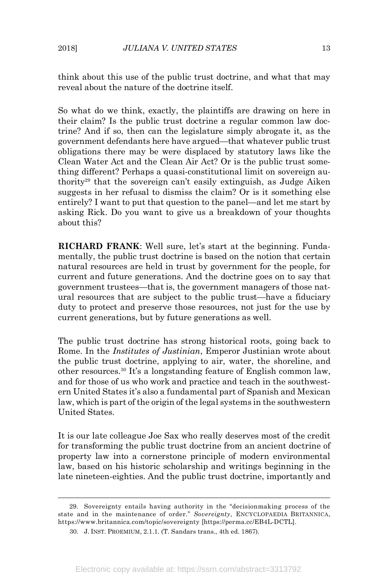think about this use of the public trust doctrine, and what that may reveal about the nature of the doctrine itself.

So what do we think, exactly, the plaintiffs are drawing on here in their claim? Is the public trust doctrine a regular common law doctrine? And if so, then can the legislature simply abrogate it, as the government defendants here have argued—that whatever public trust obligations there may be were displaced by statutory laws like the Clean Water Act and the Clean Air Act? Or is the public trust something different? Perhaps a quasi-constitutional limit on sovereign authority29 that the sovereign can't easily extinguish, as Judge Aiken suggests in her refusal to dismiss the claim? Or is it something else entirely? I want to put that question to the panel—and let me start by asking Rick. Do you want to give us a breakdown of your thoughts about this?

**RICHARD FRANK**: Well sure, let's start at the beginning. Fundamentally, the public trust doctrine is based on the notion that certain natural resources are held in trust by government for the people, for current and future generations. And the doctrine goes on to say that government trustees—that is, the government managers of those natural resources that are subject to the public trust—have a fiduciary duty to protect and preserve those resources, not just for the use by current generations, but by future generations as well.

The public trust doctrine has strong historical roots, going back to Rome. In the *Institutes of Justinian*, Emperor Justinian wrote about the public trust doctrine, applying to air, water, the shoreline, and other resources.30 It's a longstanding feature of English common law, and for those of us who work and practice and teach in the southwestern United States it's also a fundamental part of Spanish and Mexican law, which is part of the origin of the legal systems in the southwestern United States.

It is our late colleague Joe Sax who really deserves most of the credit for transforming the public trust doctrine from an ancient doctrine of property law into a cornerstone principle of modern environmental law, based on his historic scholarship and writings beginning in the late nineteen-eighties. And the public trust doctrine, importantly and

 <sup>29.</sup> Sovereignty entails having authority in the "decisionmaking process of the state and in the maintenance of order." *Sovereignty*, ENCYCLOPAEDIA BRITANNICA, https://www.britannica.com/topic/sovereignty [https://perma.cc/EB4L-DCTL].

<sup>30.</sup> J. INST. PROEMIUM, 2.1.1. (T. Sandars trans., 4th ed. 1867).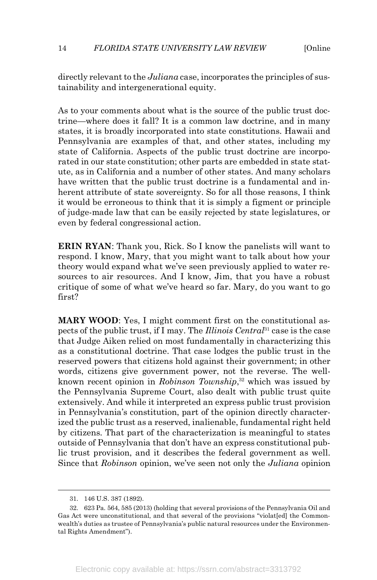#### 14 *FLORIDA STATE UNIVERSITY LAW REVIEW* [Online

directly relevant to the *Juliana* case, incorporates the principles of sustainability and intergenerational equity.

As to your comments about what is the source of the public trust doctrine—where does it fall? It is a common law doctrine, and in many states, it is broadly incorporated into state constitutions. Hawaii and Pennsylvania are examples of that, and other states, including my state of California. Aspects of the public trust doctrine are incorporated in our state constitution; other parts are embedded in state statute, as in California and a number of other states. And many scholars have written that the public trust doctrine is a fundamental and inherent attribute of state sovereignty. So for all those reasons, I think it would be erroneous to think that it is simply a figment or principle of judge-made law that can be easily rejected by state legislatures, or even by federal congressional action.

**ERIN RYAN**: Thank you, Rick. So I know the panelists will want to respond. I know, Mary, that you might want to talk about how your theory would expand what we've seen previously applied to water resources to air resources. And I know, Jim, that you have a robust critique of some of what we've heard so far. Mary, do you want to go first?

**MARY WOOD**: Yes, I might comment first on the constitutional aspects of the public trust, if I may. The *Illinois Central*<sup>31</sup> case is the case that Judge Aiken relied on most fundamentally in characterizing this as a constitutional doctrine. That case lodges the public trust in the reserved powers that citizens hold against their government; in other words, citizens give government power, not the reverse. The wellknown recent opinion in *Robinson Township*, <sup>32</sup> which was issued by the Pennsylvania Supreme Court, also dealt with public trust quite extensively. And while it interpreted an express public trust provision in Pennsylvania's constitution, part of the opinion directly characterized the public trust as a reserved, inalienable, fundamental right held by citizens. That part of the characterization is meaningful to states outside of Pennsylvania that don't have an express constitutional public trust provision, and it describes the federal government as well. Since that *Robinson* opinion, we've seen not only the *Juliana* opinion

 <sup>31.</sup> 146 U.S. 387 (1892).

<sup>32.</sup> 623 Pa. 564, 585 (2013) (holding that several provisions of the Pennsylvania Oil and Gas Act were unconstitutional, and that several of the provisions "violat[ed] the Commonwealth's duties as trustee of Pennsylvania's public natural resources under the Environmental Rights Amendment").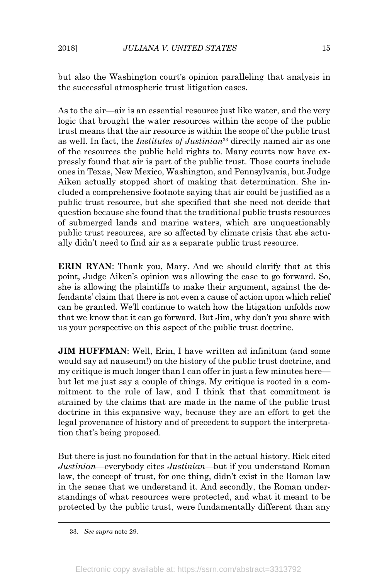but also the Washington court's opinion paralleling that analysis in the successful atmospheric trust litigation cases.

As to the air—air is an essential resource just like water, and the very logic that brought the water resources within the scope of the public trust means that the air resource is within the scope of the public trust as well. In fact, the *Institutes of Justinian*<sup>33</sup> directly named air as one of the resources the public held rights to. Many courts now have expressly found that air is part of the public trust. Those courts include ones in Texas, New Mexico, Washington, and Pennsylvania, but Judge Aiken actually stopped short of making that determination. She included a comprehensive footnote saying that air could be justified as a public trust resource, but she specified that she need not decide that question because she found that the traditional public trusts resources of submerged lands and marine waters, which are unquestionably public trust resources, are so affected by climate crisis that she actually didn't need to find air as a separate public trust resource.

**ERIN RYAN**: Thank you, Mary. And we should clarify that at this point, Judge Aiken's opinion was allowing the case to go forward. So, she is allowing the plaintiffs to make their argument, against the defendants' claim that there is not even a cause of action upon which relief can be granted. We'll continue to watch how the litigation unfolds now that we know that it can go forward. But Jim, why don't you share with us your perspective on this aspect of the public trust doctrine.

**JIM HUFFMAN**: Well, Erin, I have written ad infinitum (and some would say ad nauseum!) on the history of the public trust doctrine, and my critique is much longer than I can offer in just a few minutes here but let me just say a couple of things. My critique is rooted in a commitment to the rule of law, and I think that that commitment is strained by the claims that are made in the name of the public trust doctrine in this expansive way, because they are an effort to get the legal provenance of history and of precedent to support the interpretation that's being proposed.

But there is just no foundation for that in the actual history. Rick cited *Justinian*—everybody cites *Justinian*—but if you understand Roman law, the concept of trust, for one thing, didn't exist in the Roman law in the sense that we understand it. And secondly, the Roman understandings of what resources were protected, and what it meant to be protected by the public trust, were fundamentally different than any

 <sup>33.</sup> *See supra* note 29.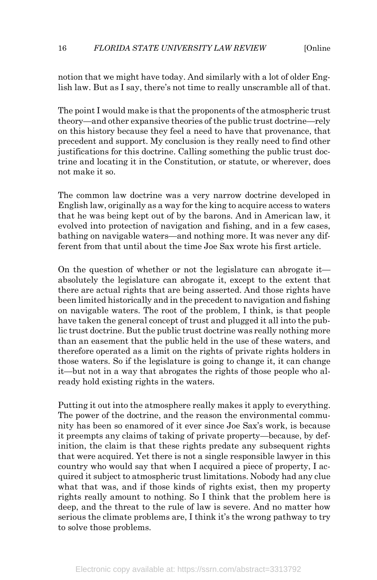notion that we might have today. And similarly with a lot of older English law. But as I say, there's not time to really unscramble all of that.

The point I would make is that the proponents of the atmospheric trust theory—and other expansive theories of the public trust doctrine—rely on this history because they feel a need to have that provenance, that precedent and support. My conclusion is they really need to find other justifications for this doctrine. Calling something the public trust doctrine and locating it in the Constitution, or statute, or wherever, does not make it so.

The common law doctrine was a very narrow doctrine developed in English law, originally as a way for the king to acquire access to waters that he was being kept out of by the barons. And in American law, it evolved into protection of navigation and fishing, and in a few cases, bathing on navigable waters—and nothing more. It was never any different from that until about the time Joe Sax wrote his first article.

On the question of whether or not the legislature can abrogate it absolutely the legislature can abrogate it, except to the extent that there are actual rights that are being asserted. And those rights have been limited historically and in the precedent to navigation and fishing on navigable waters. The root of the problem, I think, is that people have taken the general concept of trust and plugged it all into the public trust doctrine. But the public trust doctrine was really nothing more than an easement that the public held in the use of these waters, and therefore operated as a limit on the rights of private rights holders in those waters. So if the legislature is going to change it, it can change it—but not in a way that abrogates the rights of those people who already hold existing rights in the waters.

Putting it out into the atmosphere really makes it apply to everything. The power of the doctrine, and the reason the environmental community has been so enamored of it ever since Joe Sax's work, is because it preempts any claims of taking of private property—because, by definition, the claim is that these rights predate any subsequent rights that were acquired. Yet there is not a single responsible lawyer in this country who would say that when I acquired a piece of property, I acquired it subject to atmospheric trust limitations. Nobody had any clue what that was, and if those kinds of rights exist, then my property rights really amount to nothing. So I think that the problem here is deep, and the threat to the rule of law is severe. And no matter how serious the climate problems are, I think it's the wrong pathway to try to solve those problems.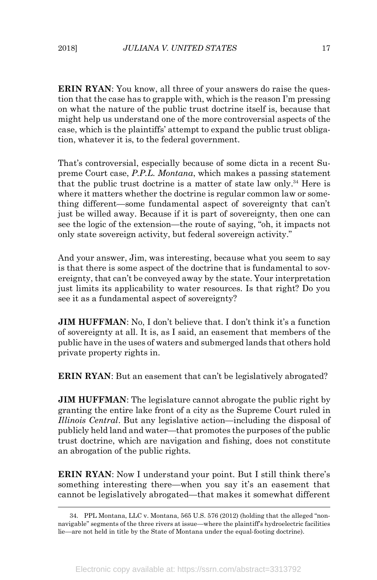**ERIN RYAN**: You know, all three of your answers do raise the question that the case has to grapple with, which is the reason I'm pressing on what the nature of the public trust doctrine itself is, because that might help us understand one of the more controversial aspects of the case, which is the plaintiffs' attempt to expand the public trust obligation, whatever it is, to the federal government.

That's controversial, especially because of some dicta in a recent Supreme Court case, *P.P.L. Montana*, which makes a passing statement that the public trust doctrine is a matter of state law only. <sup>34</sup> Here is where it matters whether the doctrine is regular common law or something different—some fundamental aspect of sovereignty that can't just be willed away. Because if it is part of sovereignty, then one can see the logic of the extension—the route of saying, "oh, it impacts not only state sovereign activity, but federal sovereign activity."

And your answer, Jim, was interesting, because what you seem to say is that there is some aspect of the doctrine that is fundamental to sovereignty, that can't be conveyed away by the state. Your interpretation just limits its applicability to water resources. Is that right? Do you see it as a fundamental aspect of sovereignty?

**JIM HUFFMAN**: No, I don't believe that. I don't think it's a function of sovereignty at all. It is, as I said, an easement that members of the public have in the uses of waters and submerged lands that others hold private property rights in.

**ERIN RYAN**: But an easement that can't be legislatively abrogated?

**JIM HUFFMAN**: The legislature cannot abrogate the public right by granting the entire lake front of a city as the Supreme Court ruled in *Illinois Central*. But any legislative action—including the disposal of publicly held land and water—that promotes the purposes of the public trust doctrine, which are navigation and fishing, does not constitute an abrogation of the public rights.

**ERIN RYAN**: Now I understand your point. But I still think there's something interesting there—when you say it's an easement that cannot be legislatively abrogated—that makes it somewhat different

 <sup>34.</sup> PPL Montana, LLC v. Montana, 565 U.S. 576 (2012) (holding that the alleged "nonnavigable" segments of the three rivers at issue—where the plaintiff's hydroelectric facilities lie—are not held in title by the State of Montana under the equal-footing doctrine).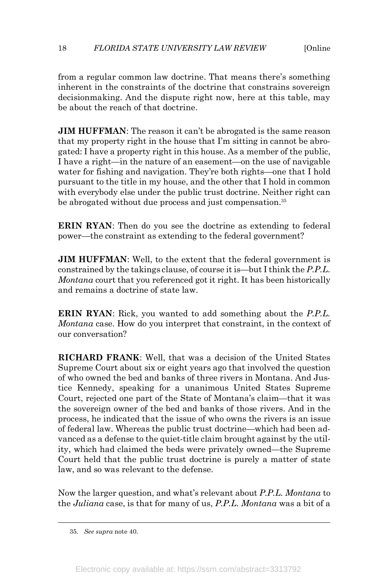from a regular common law doctrine. That means there's something inherent in the constraints of the doctrine that constrains sovereign decisionmaking. And the dispute right now, here at this table, may be about the reach of that doctrine.

**JIM HUFFMAN**: The reason it can't be abrogated is the same reason that my property right in the house that I'm sitting in cannot be abrogated: I have a property right in this house. As a member of the public, I have a right—in the nature of an easement—on the use of navigable water for fishing and navigation. They're both rights—one that I hold pursuant to the title in my house, and the other that I hold in common with everybody else under the public trust doctrine. Neither right can be abrogated without due process and just compensation.<sup>35</sup>

**ERIN RYAN**: Then do you see the doctrine as extending to federal power—the constraint as extending to the federal government?

**JIM HUFFMAN:** Well, to the extent that the federal government is constrained by the takings clause, of course it is—but I think the *P.P.L. Montana* court that you referenced got it right. It has been historically and remains a doctrine of state law.

**ERIN RYAN**: Rick, you wanted to add something about the *P.P.L. Montana* case. How do you interpret that constraint, in the context of our conversation?

**RICHARD FRANK**: Well, that was a decision of the United States Supreme Court about six or eight years ago that involved the question of who owned the bed and banks of three rivers in Montana. And Justice Kennedy, speaking for a unanimous United States Supreme Court, rejected one part of the State of Montana's claim—that it was the sovereign owner of the bed and banks of those rivers. And in the process, he indicated that the issue of who owns the rivers is an issue of federal law. Whereas the public trust doctrine—which had been advanced as a defense to the quiet-title claim brought against by the utility, which had claimed the beds were privately owned—the Supreme Court held that the public trust doctrine is purely a matter of state law, and so was relevant to the defense.

Now the larger question, and what's relevant about *P.P.L. Montana* to the *Juliana* case, is that for many of us, *P.P.L. Montana* was a bit of a

 <sup>35.</sup> *See supra* note 40.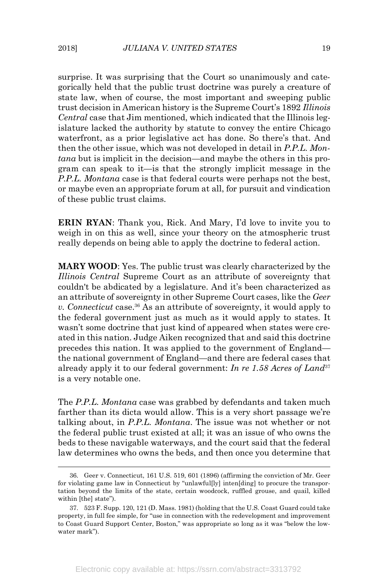surprise. It was surprising that the Court so unanimously and categorically held that the public trust doctrine was purely a creature of state law, when of course, the most important and sweeping public trust decision in American history is the Supreme Court's 1892 *Illinois Central* case that Jim mentioned, which indicated that the Illinois legislature lacked the authority by statute to convey the entire Chicago waterfront, as a prior legislative act has done. So there's that. And then the other issue, which was not developed in detail in *P.P.L. Montana* but is implicit in the decision—and maybe the others in this program can speak to it—is that the strongly implicit message in the *P.P.L. Montana* case is that federal courts were perhaps not the best, or maybe even an appropriate forum at all, for pursuit and vindication of these public trust claims.

**ERIN RYAN**: Thank you, Rick. And Mary, I'd love to invite you to weigh in on this as well, since your theory on the atmospheric trust really depends on being able to apply the doctrine to federal action.

**MARY WOOD**: Yes. The public trust was clearly characterized by the *Illinois Central* Supreme Court as an attribute of sovereignty that couldn't be abdicated by a legislature. And it's been characterized as an attribute of sovereignty in other Supreme Court cases, like the *Geer v. Connecticut* case.<sup>36</sup> As an attribute of sovereignty, it would apply to the federal government just as much as it would apply to states. It wasn't some doctrine that just kind of appeared when states were created in this nation. Judge Aiken recognized that and said this doctrine precedes this nation. It was applied to the government of England the national government of England—and there are federal cases that already apply it to our federal government: *In re 1.58 Acres of Land*<sup>37</sup> is a very notable one.

The *P.P.L. Montana* case was grabbed by defendants and taken much farther than its dicta would allow. This is a very short passage we're talking about, in *P.P.L. Montana*. The issue was not whether or not the federal public trust existed at all; it was an issue of who owns the beds to these navigable waterways, and the court said that the federal law determines who owns the beds, and then once you determine that

 <sup>36.</sup> Geer v. Connecticut, 161 U.S. 519, 601 (1896) (affirming the conviction of Mr. Geer for violating game law in Connecticut by "unlawful[ly] inten[ding] to procure the transportation beyond the limits of the state, certain woodcock, ruffled grouse, and quail, killed within [the] state").

<sup>37.</sup> 523 F. Supp. 120, 121 (D. Mass. 1981) (holding that the U.S. Coast Guard could take property, in full fee simple, for "use in connection with the redevelopment and improvement to Coast Guard Support Center, Boston," was appropriate so long as it was "below the lowwater mark").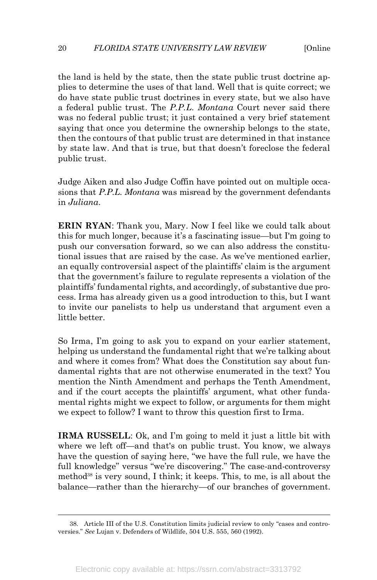the land is held by the state, then the state public trust doctrine applies to determine the uses of that land. Well that is quite correct; we do have state public trust doctrines in every state, but we also have a federal public trust. The *P.P.L. Montana* Court never said there was no federal public trust; it just contained a very brief statement saying that once you determine the ownership belongs to the state, then the contours of that public trust are determined in that instance by state law. And that is true, but that doesn't foreclose the federal public trust.

Judge Aiken and also Judge Coffin have pointed out on multiple occasions that *P.P.L. Montana* was misread by the government defendants in *Juliana*.

**ERIN RYAN**: Thank you, Mary. Now I feel like we could talk about this for much longer, because it's a fascinating issue—but I'm going to push our conversation forward, so we can also address the constitutional issues that are raised by the case. As we've mentioned earlier, an equally controversial aspect of the plaintiffs' claim is the argument that the government's failure to regulate represents a violation of the plaintiffs' fundamental rights, and accordingly, of substantive due process. Irma has already given us a good introduction to this, but I want to invite our panelists to help us understand that argument even a little better.

So Irma, I'm going to ask you to expand on your earlier statement, helping us understand the fundamental right that we're talking about and where it comes from? What does the Constitution say about fundamental rights that are not otherwise enumerated in the text? You mention the Ninth Amendment and perhaps the Tenth Amendment, and if the court accepts the plaintiffs' argument, what other fundamental rights might we expect to follow, or arguments for them might we expect to follow? I want to throw this question first to Irma.

**IRMA RUSSELL**: Ok, and I'm going to meld it just a little bit with where we left off—and that's on public trust. You know, we always have the question of saying here, "we have the full rule, we have the full knowledge" versus "we're discovering." The case-and-controversy method<sup>38</sup> is very sound, I think; it keeps. This, to me, is all about the balance—rather than the hierarchy—of our branches of government.

 <sup>38.</sup> Article III of the U.S. Constitution limits judicial review to only "cases and controversies." *See* Lujan v. Defenders of Wildlife, 504 U.S. 555, 560 (1992).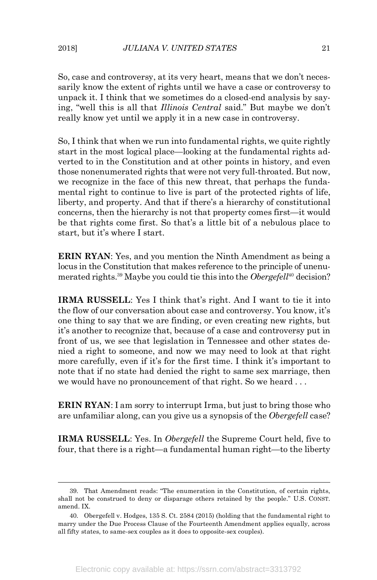So, case and controversy, at its very heart, means that we don't necessarily know the extent of rights until we have a case or controversy to unpack it. I think that we sometimes do a closed-end analysis by saying, "well this is all that *Illinois Central* said." But maybe we don't really know yet until we apply it in a new case in controversy.

So, I think that when we run into fundamental rights, we quite rightly start in the most logical place—looking at the fundamental rights adverted to in the Constitution and at other points in history, and even those nonenumerated rights that were not very full-throated. But now, we recognize in the face of this new threat, that perhaps the fundamental right to continue to live is part of the protected rights of life, liberty, and property. And that if there's a hierarchy of constitutional concerns, then the hierarchy is not that property comes first—it would be that rights come first. So that's a little bit of a nebulous place to start, but it's where I start.

**ERIN RYAN**: Yes, and you mention the Ninth Amendment as being a locus in the Constitution that makes reference to the principle of unenumerated rights. <sup>39</sup> Maybe you could tie this into the *Obergefell*<sup>40</sup> decision?

**IRMA RUSSELL**: Yes I think that's right. And I want to tie it into the flow of our conversation about case and controversy. You know, it's one thing to say that we are finding, or even creating new rights, but it's another to recognize that, because of a case and controversy put in front of us, we see that legislation in Tennessee and other states denied a right to someone, and now we may need to look at that right more carefully, even if it's for the first time. I think it's important to note that if no state had denied the right to same sex marriage, then we would have no pronouncement of that right. So we heard ...

**ERIN RYAN**: I am sorry to interrupt Irma, but just to bring those who are unfamiliar along, can you give us a synopsis of the *Obergefell* case?

**IRMA RUSSELL**: Yes. In *Obergefell* the Supreme Court held, five to four, that there is a right—a fundamental human right—to the liberty

 <sup>39.</sup> That Amendment reads: "The enumeration in the Constitution, of certain rights, shall not be construed to deny or disparage others retained by the people." U.S. CONST. amend. IX.

<sup>40.</sup> Obergefell v. Hodges, 135 S. Ct. 2584 (2015) (holding that the fundamental right to marry under the Due Process Clause of the Fourteenth Amendment applies equally, across all fifty states, to same-sex couples as it does to opposite-sex couples).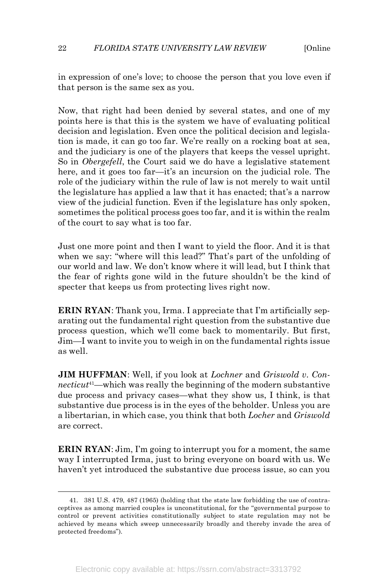#### 22 *FLORIDA STATE UNIVERSITY LAW REVIEW* [Online

in expression of one's love; to choose the person that you love even if that person is the same sex as you.

Now, that right had been denied by several states, and one of my points here is that this is the system we have of evaluating political decision and legislation. Even once the political decision and legislation is made, it can go too far. We're really on a rocking boat at sea, and the judiciary is one of the players that keeps the vessel upright. So in *Obergefell*, the Court said we do have a legislative statement here, and it goes too far—it's an incursion on the judicial role. The role of the judiciary within the rule of law is not merely to wait until the legislature has applied a law that it has enacted; that's a narrow view of the judicial function. Even if the legislature has only spoken, sometimes the political process goes too far, and it is within the realm of the court to say what is too far.

Just one more point and then I want to yield the floor. And it is that when we say: "where will this lead?" That's part of the unfolding of our world and law. We don't know where it will lead, but I think that the fear of rights gone wild in the future shouldn't be the kind of specter that keeps us from protecting lives right now.

**ERIN RYAN**: Thank you, Irma. I appreciate that I'm artificially separating out the fundamental right question from the substantive due process question, which we'll come back to momentarily. But first, Jim—I want to invite you to weigh in on the fundamental rights issue as well.

**JIM HUFFMAN**: Well, if you look at *Lochner* and *Griswold v. Connecticut*41—which was really the beginning of the modern substantive due process and privacy cases—what they show us, I think, is that substantive due process is in the eyes of the beholder. Unless you are a libertarian, in which case, you think that both *Locher* and *Griswold* are correct.

**ERIN RYAN**: Jim, I'm going to interrupt you for a moment, the same way I interrupted Irma, just to bring everyone on board with us. We haven't yet introduced the substantive due process issue, so can you

 <sup>41.</sup> 381 U.S. 479, 487 (1965) (holding that the state law forbidding the use of contraceptives as among married couples is unconstitutional, for the "governmental purpose to control or prevent activities constitutionally subject to state regulation may not be achieved by means which sweep unnecessarily broadly and thereby invade the area of protected freedoms").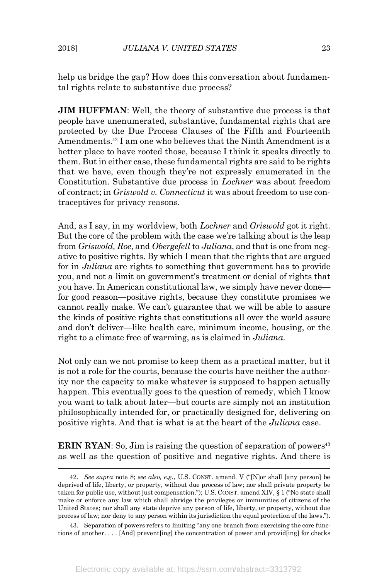help us bridge the gap? How does this conversation about fundamental rights relate to substantive due process?

**JIM HUFFMAN:** Well, the theory of substantive due process is that people have unenumerated, substantive, fundamental rights that are protected by the Due Process Clauses of the Fifth and Fourteenth Amendments.42 I am one who believes that the Ninth Amendment is a better place to have rooted those, because I think it speaks directly to them. But in either case, these fundamental rights are said to be rights that we have, even though they're not expressly enumerated in the Constitution. Substantive due process in *Lochner* was about freedom of contract; in *Griswold v. Connecticut* it was about freedom to use contraceptives for privacy reasons.

And, as I say, in my worldview, both *Lochner* and *Griswold* got it right. But the core of the problem with the case we're talking about is the leap from *Griswold, Roe*, and *Obergefell* to *Juliana*, and that is one from negative to positive rights. By which I mean that the rights that are argued for in *Juliana* are rights to something that government has to provide you, and not a limit on government's treatment or denial of rights that you have. In American constitutional law, we simply have never done for good reason—positive rights, because they constitute promises we cannot really make. We can't guarantee that we will be able to assure the kinds of positive rights that constitutions all over the world assure and don't deliver—like health care, minimum income, housing, or the right to a climate free of warming, as is claimed in *Juliana*.

Not only can we not promise to keep them as a practical matter, but it is not a role for the courts, because the courts have neither the authority nor the capacity to make whatever is supposed to happen actually happen. This eventually goes to the question of remedy, which I know you want to talk about later—but courts are simply not an institution philosophically intended for, or practically designed for, delivering on positive rights. And that is what is at the heart of the *Juliana* case.

**ERIN RYAN**: So, Jim is raising the question of separation of powers<sup>43</sup> as well as the question of positive and negative rights. And there is

 <sup>42.</sup> *See supra* note 8; *see also, e.g.*, U.S. CONST. amend. V ("[N]or shall [any person] be deprived of life, liberty, or property, without due process of law; nor shall private property be taken for public use, without just compensation."); U.S. CONST. amend XIV, § 1 ("No state shall make or enforce any law which shall abridge the privileges or immunities of citizens of the United States; nor shall any state deprive any person of life, liberty, or property, without due process of law; nor deny to any person within its jurisdiction the equal protection of the laws.").

<sup>43.</sup> Separation of powers refers to limiting "any one branch from exercising the core functions of another. . . . [And] prevent[ing] the concentration of power and provid[ing] for checks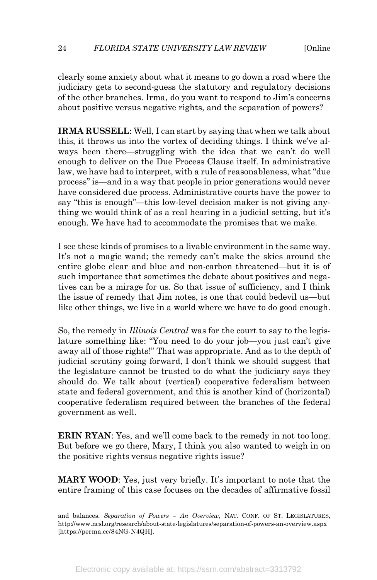clearly some anxiety about what it means to go down a road where the judiciary gets to second-guess the statutory and regulatory decisions of the other branches. Irma, do you want to respond to Jim's concerns about positive versus negative rights, and the separation of powers?

**IRMA RUSSELL**: Well, I can start by saying that when we talk about this, it throws us into the vortex of deciding things. I think we've always been there—struggling with the idea that we can't do well enough to deliver on the Due Process Clause itself. In administrative law, we have had to interpret, with a rule of reasonableness, what "due process" is—and in a way that people in prior generations would never have considered due process. Administrative courts have the power to say "this is enough"—this low-level decision maker is not giving anything we would think of as a real hearing in a judicial setting, but it's enough. We have had to accommodate the promises that we make.

I see these kinds of promises to a livable environment in the same way. It's not a magic wand; the remedy can't make the skies around the entire globe clear and blue and non-carbon threatened—but it is of such importance that sometimes the debate about positives and negatives can be a mirage for us. So that issue of sufficiency, and I think the issue of remedy that Jim notes, is one that could bedevil us—but like other things, we live in a world where we have to do good enough.

So, the remedy in *Illinois Central* was for the court to say to the legislature something like: "You need to do your job—you just can't give away all of those rights!" That was appropriate. And as to the depth of judicial scrutiny going forward, I don't think we should suggest that the legislature cannot be trusted to do what the judiciary says they should do. We talk about (vertical) cooperative federalism between state and federal government, and this is another kind of (horizontal) cooperative federalism required between the branches of the federal government as well.

**ERIN RYAN**: Yes, and we'll come back to the remedy in not too long. But before we go there, Mary, I think you also wanted to weigh in on the positive rights versus negative rights issue?

**MARY WOOD**: Yes, just very briefly. It's important to note that the entire framing of this case focuses on the decades of affirmative fossil

and balances. *Separation of Powers – An Overview*, NAT. CONF. OF ST. LEGISLATURES, http://www.ncsl.org/research/about-state-legislatures/separation-of-powers-an-overview.aspx [https://perma.cc/84NG-N4QH].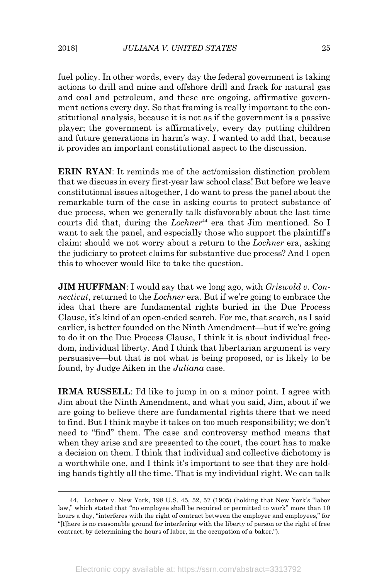fuel policy. In other words, every day the federal government is taking actions to drill and mine and offshore drill and frack for natural gas and coal and petroleum, and these are ongoing, affirmative government actions every day. So that framing is really important to the constitutional analysis, because it is not as if the government is a passive player; the government is affirmatively, every day putting children and future generations in harm's way. I wanted to add that, because it provides an important constitutional aspect to the discussion.

**ERIN RYAN**: It reminds me of the act/omission distinction problem that we discuss in every first-year law school class! But before we leave constitutional issues altogether, I do want to press the panel about the remarkable turn of the case in asking courts to protect substance of due process, when we generally talk disfavorably about the last time courts did that, during the *Lochner*<sup>44</sup> era that Jim mentioned. So I want to ask the panel, and especially those who support the plaintiff's claim: should we not worry about a return to the *Lochner* era, asking the judiciary to protect claims for substantive due process? And I open this to whoever would like to take the question.

**JIM HUFFMAN**: I would say that we long ago, with *Griswold v. Connecticut*, returned to the *Lochner* era. But if we're going to embrace the idea that there are fundamental rights buried in the Due Process Clause, it's kind of an open-ended search. For me, that search, as I said earlier, is better founded on the Ninth Amendment—but if we're going to do it on the Due Process Clause, I think it is about individual freedom, individual liberty. And I think that libertarian argument is very persuasive—but that is not what is being proposed, or is likely to be found, by Judge Aiken in the *Juliana* case.

**IRMA RUSSELL:** I'd like to jump in on a minor point. I agree with Jim about the Ninth Amendment, and what you said, Jim, about if we are going to believe there are fundamental rights there that we need to find. But I think maybe it takes on too much responsibility; we don't need to "find" them. The case and controversy method means that when they arise and are presented to the court, the court has to make a decision on them. I think that individual and collective dichotomy is a worthwhile one, and I think it's important to see that they are holding hands tightly all the time. That is my individual right. We can talk

 <sup>44.</sup> Lochner v. New York, 198 U.S. 45, 52, 57 (1905) (holding that New York's "labor law," which stated that "no employee shall be required or permitted to work" more than 10 hours a day, "interferes with the right of contract between the employer and employees," for "[t]here is no reasonable ground for interfering with the liberty of person or the right of free contract, by determining the hours of labor, in the occupation of a baker.").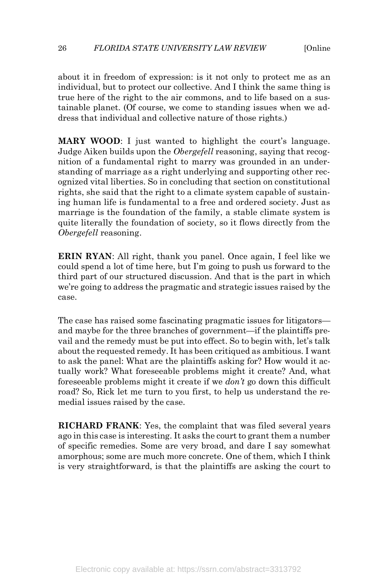about it in freedom of expression: is it not only to protect me as an individual, but to protect our collective. And I think the same thing is true here of the right to the air commons, and to life based on a sustainable planet. (Of course, we come to standing issues when we address that individual and collective nature of those rights.)

**MARY WOOD:** I just wanted to highlight the court's language. Judge Aiken builds upon the *Obergefell* reasoning, saying that recognition of a fundamental right to marry was grounded in an understanding of marriage as a right underlying and supporting other recognized vital liberties. So in concluding that section on constitutional rights, she said that the right to a climate system capable of sustaining human life is fundamental to a free and ordered society. Just as marriage is the foundation of the family, a stable climate system is quite literally the foundation of society, so it flows directly from the *Obergefell* reasoning.

**ERIN RYAN**: All right, thank you panel. Once again, I feel like we could spend a lot of time here, but I'm going to push us forward to the third part of our structured discussion. And that is the part in which we're going to address the pragmatic and strategic issues raised by the case.

The case has raised some fascinating pragmatic issues for litigators and maybe for the three branches of government—if the plaintiffs prevail and the remedy must be put into effect. So to begin with, let's talk about the requested remedy. It has been critiqued as ambitious. I want to ask the panel: What are the plaintiffs asking for? How would it actually work? What foreseeable problems might it create? And, what foreseeable problems might it create if we *don't* go down this difficult road? So, Rick let me turn to you first, to help us understand the remedial issues raised by the case.

**RICHARD FRANK**: Yes, the complaint that was filed several years ago in this case is interesting. It asks the court to grant them a number of specific remedies. Some are very broad, and dare I say somewhat amorphous; some are much more concrete. One of them, which I think is very straightforward, is that the plaintiffs are asking the court to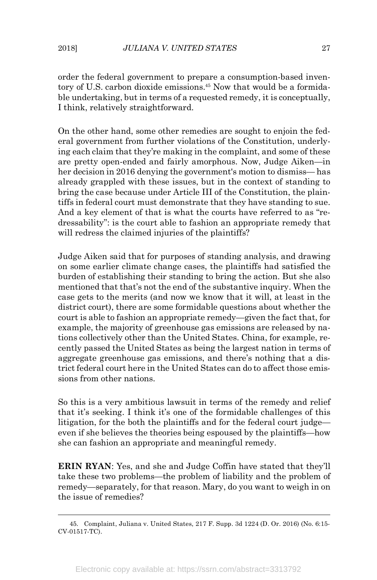order the federal government to prepare a consumption-based inventory of U.S. carbon dioxide emissions.45 Now that would be a formidable undertaking, but in terms of a requested remedy, it is conceptually, I think, relatively straightforward.

On the other hand, some other remedies are sought to enjoin the federal government from further violations of the Constitution, underlying each claim that they're making in the complaint, and some of these are pretty open-ended and fairly amorphous. Now, Judge Aiken—in her decision in 2016 denying the government's motion to dismiss— has already grappled with these issues, but in the context of standing to bring the case because under Article III of the Constitution, the plaintiffs in federal court must demonstrate that they have standing to sue. And a key element of that is what the courts have referred to as "redressability": is the court able to fashion an appropriate remedy that will redress the claimed injuries of the plaintiffs?

Judge Aiken said that for purposes of standing analysis, and drawing on some earlier climate change cases, the plaintiffs had satisfied the burden of establishing their standing to bring the action. But she also mentioned that that's not the end of the substantive inquiry. When the case gets to the merits (and now we know that it will, at least in the district court), there are some formidable questions about whether the court is able to fashion an appropriate remedy—given the fact that, for example, the majority of greenhouse gas emissions are released by nations collectively other than the United States. China, for example, recently passed the United States as being the largest nation in terms of aggregate greenhouse gas emissions, and there's nothing that a district federal court here in the United States can do to affect those emissions from other nations.

So this is a very ambitious lawsuit in terms of the remedy and relief that it's seeking. I think it's one of the formidable challenges of this litigation, for the both the plaintiffs and for the federal court judge even if she believes the theories being espoused by the plaintiffs—how she can fashion an appropriate and meaningful remedy.

**ERIN RYAN**: Yes, and she and Judge Coffin have stated that they'll take these two problems—the problem of liability and the problem of remedy—separately, for that reason. Mary, do you want to weigh in on the issue of remedies?

 <sup>45.</sup> Complaint, Juliana v. United States, 217 F. Supp. 3d 1224 (D. Or. 2016) (No. 6:15- CV-01517-TC).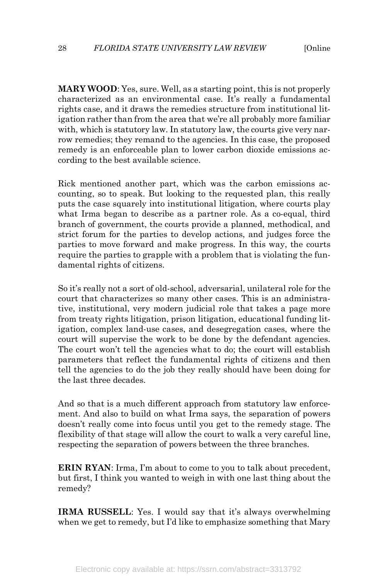**MARY WOOD**: Yes, sure. Well, as a starting point, this is not properly characterized as an environmental case. It's really a fundamental rights case, and it draws the remedies structure from institutional litigation rather than from the area that we're all probably more familiar with, which is statutory law. In statutory law, the courts give very narrow remedies; they remand to the agencies. In this case, the proposed remedy is an enforceable plan to lower carbon dioxide emissions according to the best available science.

Rick mentioned another part, which was the carbon emissions accounting, so to speak. But looking to the requested plan, this really puts the case squarely into institutional litigation, where courts play what Irma began to describe as a partner role. As a co-equal, third branch of government, the courts provide a planned, methodical, and strict forum for the parties to develop actions, and judges force the parties to move forward and make progress. In this way, the courts require the parties to grapple with a problem that is violating the fundamental rights of citizens.

So it's really not a sort of old-school, adversarial, unilateral role for the court that characterizes so many other cases. This is an administrative, institutional, very modern judicial role that takes a page more from treaty rights litigation, prison litigation, educational funding litigation, complex land-use cases, and desegregation cases, where the court will supervise the work to be done by the defendant agencies. The court won't tell the agencies what to do; the court will establish parameters that reflect the fundamental rights of citizens and then tell the agencies to do the job they really should have been doing for the last three decades.

And so that is a much different approach from statutory law enforcement. And also to build on what Irma says, the separation of powers doesn't really come into focus until you get to the remedy stage. The flexibility of that stage will allow the court to walk a very careful line, respecting the separation of powers between the three branches.

**ERIN RYAN**: Irma, I'm about to come to you to talk about precedent, but first, I think you wanted to weigh in with one last thing about the remedy?

**IRMA RUSSELL**: Yes. I would say that it's always overwhelming when we get to remedy, but I'd like to emphasize something that Mary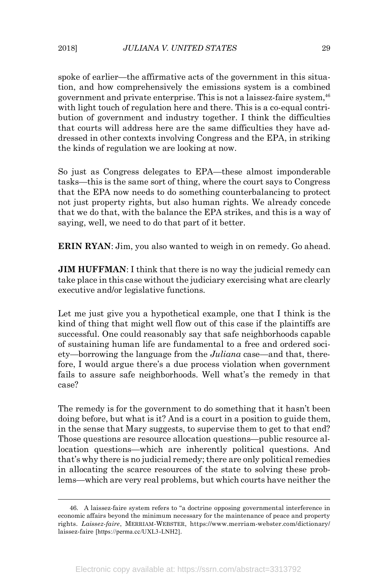spoke of earlier—the affirmative acts of the government in this situation, and how comprehensively the emissions system is a combined government and private enterprise. This is not a laissez-faire system, 46 with light touch of regulation here and there. This is a co-equal contribution of government and industry together. I think the difficulties that courts will address here are the same difficulties they have addressed in other contexts involving Congress and the EPA, in striking the kinds of regulation we are looking at now.

So just as Congress delegates to EPA—these almost imponderable tasks—this is the same sort of thing, where the court says to Congress that the EPA now needs to do something counterbalancing to protect not just property rights, but also human rights. We already concede that we do that, with the balance the EPA strikes, and this is a way of saying, well, we need to do that part of it better.

**ERIN RYAN**: Jim, you also wanted to weigh in on remedy. Go ahead.

**JIM HUFFMAN:** I think that there is no way the judicial remedy can take place in this case without the judiciary exercising what are clearly executive and/or legislative functions.

Let me just give you a hypothetical example, one that I think is the kind of thing that might well flow out of this case if the plaintiffs are successful. One could reasonably say that safe neighborhoods capable of sustaining human life are fundamental to a free and ordered society—borrowing the language from the *Juliana* case—and that, therefore, I would argue there's a due process violation when government fails to assure safe neighborhoods. Well what's the remedy in that case?

The remedy is for the government to do something that it hasn't been doing before, but what is it? And is a court in a position to guide them, in the sense that Mary suggests, to supervise them to get to that end? Those questions are resource allocation questions—public resource allocation questions—which are inherently political questions. And that's why there is no judicial remedy; there are only political remedies in allocating the scarce resources of the state to solving these problems—which are very real problems, but which courts have neither the

 <sup>46.</sup> A laissez-faire system refers to "a doctrine opposing governmental interference in economic affairs beyond the minimum necessary for the maintenance of peace and property rights. *Laissez-faire*, MERRIAM-WEBSTER, https://www.merriam-webster.com/dictionary/ laissez-faire [https://perma.cc/UXL3-LNH2].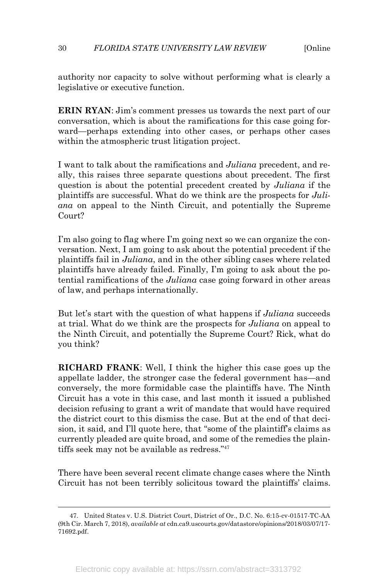#### 30 *FLORIDA STATE UNIVERSITY LAW REVIEW* [Online

authority nor capacity to solve without performing what is clearly a legislative or executive function.

**ERIN RYAN**: Jim's comment presses us towards the next part of our conversation, which is about the ramifications for this case going forward—perhaps extending into other cases, or perhaps other cases within the atmospheric trust litigation project.

I want to talk about the ramifications and *Juliana* precedent, and really, this raises three separate questions about precedent. The first question is about the potential precedent created by *Juliana* if the plaintiffs are successful. What do we think are the prospects for *Juliana* on appeal to the Ninth Circuit, and potentially the Supreme Court?

I'm also going to flag where I'm going next so we can organize the conversation. Next, I am going to ask about the potential precedent if the plaintiffs fail in *Juliana*, and in the other sibling cases where related plaintiffs have already failed. Finally, I'm going to ask about the potential ramifications of the *Juliana* case going forward in other areas of law, and perhaps internationally.

But let's start with the question of what happens if *Juliana* succeeds at trial. What do we think are the prospects for *Juliana* on appeal to the Ninth Circuit, and potentially the Supreme Court? Rick, what do you think?

**RICHARD FRANK**: Well, I think the higher this case goes up the appellate ladder, the stronger case the federal government has—and conversely, the more formidable case the plaintiffs have. The Ninth Circuit has a vote in this case, and last month it issued a published decision refusing to grant a writ of mandate that would have required the district court to this dismiss the case. But at the end of that decision, it said, and I'll quote here, that "some of the plaintiff's claims as currently pleaded are quite broad, and some of the remedies the plaintiffs seek may not be available as redress."47

There have been several recent climate change cases where the Ninth Circuit has not been terribly solicitous toward the plaintiffs' claims.

 <sup>47.</sup> United States v. U.S. District Court, District of Or., D.C. No. 6:15-cv-01517-TC-AA (9th Cir. March 7, 2018), *available at* cdn.ca9.uscourts.gov/datastore/opinions/2018/03/07/17- 71692.pdf.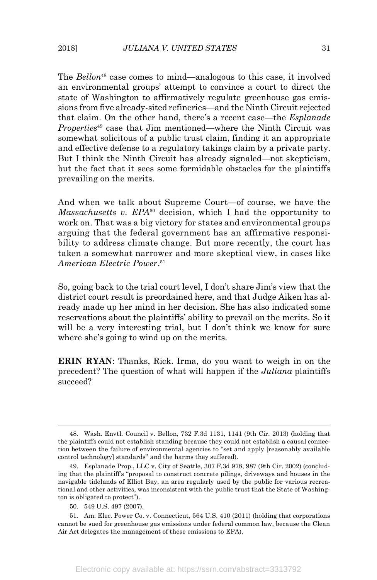The *Bellon*<sup>48</sup> case comes to mind—analogous to this case, it involved an environmental groups' attempt to convince a court to direct the state of Washington to affirmatively regulate greenhouse gas emissions from five already-sited refineries—and the Ninth Circuit rejected that claim. On the other hand, there's a recent case—the *Esplanade Properties*<sup>49</sup> case that Jim mentioned—where the Ninth Circuit was somewhat solicitous of a public trust claim, finding it an appropriate and effective defense to a regulatory takings claim by a private party. But I think the Ninth Circuit has already signaled—not skepticism, but the fact that it sees some formidable obstacles for the plaintiffs prevailing on the merits.

And when we talk about Supreme Court—of course, we have the *Massachusetts v. EPA*<sup>50</sup> decision, which I had the opportunity to work on. That was a big victory for states and environmental groups arguing that the federal government has an affirmative responsibility to address climate change. But more recently, the court has taken a somewhat narrower and more skeptical view, in cases like *American Electric Power*. 51

So, going back to the trial court level, I don't share Jim's view that the district court result is preordained here, and that Judge Aiken has already made up her mind in her decision. She has also indicated some reservations about the plaintiffs' ability to prevail on the merits. So it will be a very interesting trial, but I don't think we know for sure where she's going to wind up on the merits.

**ERIN RYAN**: Thanks, Rick. Irma, do you want to weigh in on the precedent? The question of what will happen if the *Juliana* plaintiffs succeed?

 <sup>48.</sup> Wash. Envtl. Council v. Bellon, 732 F.3d 1131, 1141 (9th Cir. 2013) (holding that the plaintiffs could not establish standing because they could not establish a causal connection between the failure of environmental agencies to "set and apply [reasonably available control technology] standards" and the harms they suffered).

<sup>49.</sup> Esplanade Prop., LLC v. City of Seattle, 307 F.3d 978, 987 (9th Cir. 2002) (concluding that the plaintiff's "proposal to construct concrete pilings, driveways and houses in the navigable tidelands of Elliot Bay, an area regularly used by the public for various recreational and other activities, was inconsistent with the public trust that the State of Washington is obligated to protect").

<sup>50.</sup> 549 U.S. 497 (2007).

<sup>51.</sup> Am. Elec. Power Co. v. Connecticut, 564 U.S. 410 (2011) (holding that corporations cannot be sued for greenhouse gas emissions under federal common law, because the Clean Air Act delegates the management of these emissions to EPA).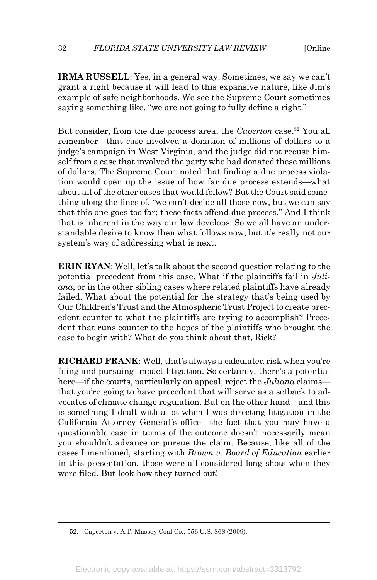**IRMA RUSSELL**: Yes, in a general way. Sometimes, we say we can't grant a right because it will lead to this expansive nature, like Jim's example of safe neighborhoods. We see the Supreme Court sometimes saying something like, "we are not going to fully define a right."

But consider, from the due process area, the *Caperton* case. <sup>52</sup> You all remember—that case involved a donation of millions of dollars to a judge's campaign in West Virginia, and the judge did not recuse himself from a case that involved the party who had donated these millions of dollars. The Supreme Court noted that finding a due process violation would open up the issue of how far due process extends—what about all of the other cases that would follow? But the Court said something along the lines of, "we can't decide all those now, but we can say that this one goes too far; these facts offend due process." And I think that is inherent in the way our law develops. So we all have an understandable desire to know then what follows now, but it's really not our system's way of addressing what is next.

**ERIN RYAN:** Well, let's talk about the second question relating to the potential precedent from this case. What if the plaintiffs fail in *Juliana*, or in the other sibling cases where related plaintiffs have already failed. What about the potential for the strategy that's being used by Our Children's Trust and the Atmospheric Trust Project to create precedent counter to what the plaintiffs are trying to accomplish? Precedent that runs counter to the hopes of the plaintiffs who brought the case to begin with? What do you think about that, Rick?

**RICHARD FRANK**: Well, that's always a calculated risk when you're filing and pursuing impact litigation. So certainly, there's a potential here—if the courts, particularly on appeal, reject the *Juliana* claims that you're going to have precedent that will serve as a setback to advocates of climate change regulation. But on the other hand—and this is something I dealt with a lot when I was directing litigation in the California Attorney General's office—the fact that you may have a questionable case in terms of the outcome doesn't necessarily mean you shouldn't advance or pursue the claim. Because, like all of the cases I mentioned, starting with *Brown v. Board of Education* earlier in this presentation, those were all considered long shots when they were filed. But look how they turned out!

 <sup>52.</sup> Caperton v. A.T. Massey Coal Co., 556 U.S. 868 (2009).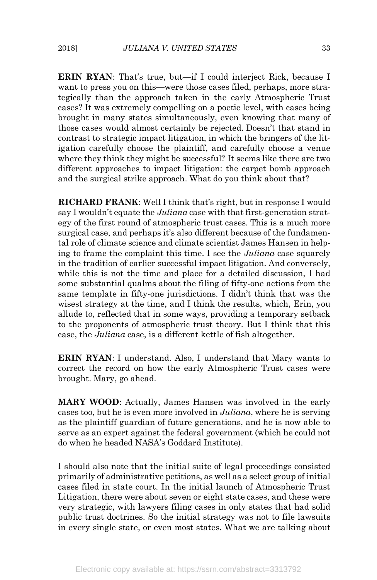**ERIN RYAN**: That's true, but—if I could interject Rick, because I want to press you on this—were those cases filed, perhaps, more strategically than the approach taken in the early Atmospheric Trust cases? It was extremely compelling on a poetic level, with cases being brought in many states simultaneously, even knowing that many of those cases would almost certainly be rejected. Doesn't that stand in contrast to strategic impact litigation, in which the bringers of the litigation carefully choose the plaintiff, and carefully choose a venue where they think they might be successful? It seems like there are two different approaches to impact litigation: the carpet bomb approach and the surgical strike approach. What do you think about that?

**RICHARD FRANK**: Well I think that's right, but in response I would say I wouldn't equate the *Juliana* case with that first-generation strategy of the first round of atmospheric trust cases. This is a much more surgical case, and perhaps it's also different because of the fundamental role of climate science and climate scientist James Hansen in helping to frame the complaint this time. I see the *Juliana* case squarely in the tradition of earlier successful impact litigation. And conversely, while this is not the time and place for a detailed discussion, I had some substantial qualms about the filing of fifty-one actions from the same template in fifty-one jurisdictions. I didn't think that was the wisest strategy at the time, and I think the results, which, Erin, you allude to, reflected that in some ways, providing a temporary setback to the proponents of atmospheric trust theory. But I think that this case, the *Juliana* case, is a different kettle of fish altogether.

**ERIN RYAN**: I understand. Also, I understand that Mary wants to correct the record on how the early Atmospheric Trust cases were brought. Mary, go ahead.

**MARY WOOD**: Actually, James Hansen was involved in the early cases too, but he is even more involved in *Juliana*, where he is serving as the plaintiff guardian of future generations, and he is now able to serve as an expert against the federal government (which he could not do when he headed NASA's Goddard Institute).

I should also note that the initial suite of legal proceedings consisted primarily of administrative petitions, as well as a select group of initial cases filed in state court. In the initial launch of Atmospheric Trust Litigation, there were about seven or eight state cases, and these were very strategic, with lawyers filing cases in only states that had solid public trust doctrines. So the initial strategy was not to file lawsuits in every single state, or even most states. What we are talking about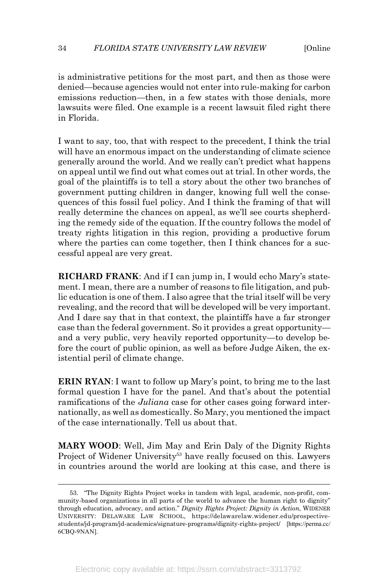is administrative petitions for the most part, and then as those were denied—because agencies would not enter into rule-making for carbon emissions reduction—then, in a few states with those denials, more lawsuits were filed. One example is a recent lawsuit filed right there in Florida.

I want to say, too, that with respect to the precedent, I think the trial will have an enormous impact on the understanding of climate science generally around the world. And we really can't predict what happens on appeal until we find out what comes out at trial. In other words, the goal of the plaintiffs is to tell a story about the other two branches of government putting children in danger, knowing full well the consequences of this fossil fuel policy. And I think the framing of that will really determine the chances on appeal, as we'll see courts shepherding the remedy side of the equation. If the country follows the model of treaty rights litigation in this region, providing a productive forum where the parties can come together, then I think chances for a successful appeal are very great.

**RICHARD FRANK**: And if I can jump in, I would echo Mary's statement. I mean, there are a number of reasons to file litigation, and public education is one of them. I also agree that the trial itself will be very revealing, and the record that will be developed will be very important. And I dare say that in that context, the plaintiffs have a far stronger case than the federal government. So it provides a great opportunity and a very public, very heavily reported opportunity—to develop before the court of public opinion, as well as before Judge Aiken, the existential peril of climate change.

**ERIN RYAN**: I want to follow up Mary's point, to bring me to the last formal question I have for the panel. And that's about the potential ramifications of the *Juliana* case for other cases going forward internationally, as well as domestically. So Mary, you mentioned the impact of the case internationally. Tell us about that.

**MARY WOOD**: Well, Jim May and Erin Daly of the Dignity Rights Project of Widener University<sup>53</sup> have really focused on this. Lawyers in countries around the world are looking at this case, and there is

 <sup>53.</sup> "The Dignity Rights Project works in tandem with legal, academic, non-profit, community-based organizations in all parts of the world to advance the human right to dignity" through education, advocacy, and action." *Dignity Rights Project: Dignity in Action*, WIDENER UNIVERSITY: DELAWARE LAW SCHOOL, https://delawarelaw.widener.edu/prospectivestudents/jd-program/jd-academics/signature-programs/dignity-rights-project/ [https://perma.cc/ 6CBQ-9NAN].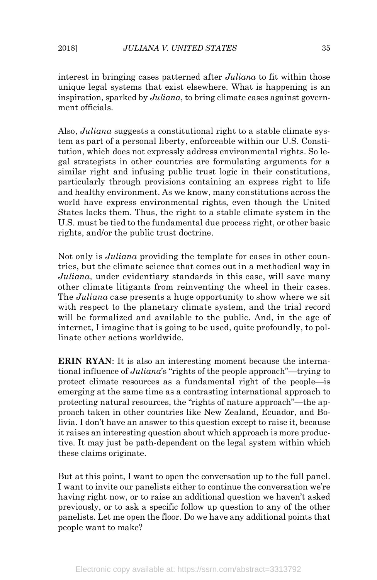interest in bringing cases patterned after *Juliana* to fit within those unique legal systems that exist elsewhere. What is happening is an inspiration, sparked by *Juliana*, to bring climate cases against government officials.

Also, *Juliana* suggests a constitutional right to a stable climate system as part of a personal liberty, enforceable within our U.S. Constitution, which does not expressly address environmental rights. So legal strategists in other countries are formulating arguments for a similar right and infusing public trust logic in their constitutions, particularly through provisions containing an express right to life and healthy environment. As we know, many constitutions across the world have express environmental rights, even though the United States lacks them. Thus, the right to a stable climate system in the U.S. must be tied to the fundamental due process right, or other basic rights, and/or the public trust doctrine.

Not only is *Juliana* providing the template for cases in other countries, but the climate science that comes out in a methodical way in *Juliana,* under evidentiary standards in this case, will save many other climate litigants from reinventing the wheel in their cases. The *Juliana* case presents a huge opportunity to show where we sit with respect to the planetary climate system, and the trial record will be formalized and available to the public. And, in the age of internet, I imagine that is going to be used, quite profoundly, to pollinate other actions worldwide.

**ERIN RYAN**: It is also an interesting moment because the international influence of *Juliana*'s "rights of the people approach"—trying to protect climate resources as a fundamental right of the people—is emerging at the same time as a contrasting international approach to protecting natural resources, the "rights of nature approach"—the approach taken in other countries like New Zealand, Ecuador, and Bolivia. I don't have an answer to this question except to raise it, because it raises an interesting question about which approach is more productive. It may just be path-dependent on the legal system within which these claims originate.

But at this point, I want to open the conversation up to the full panel. I want to invite our panelists either to continue the conversation we're having right now, or to raise an additional question we haven't asked previously, or to ask a specific follow up question to any of the other panelists. Let me open the floor. Do we have any additional points that people want to make?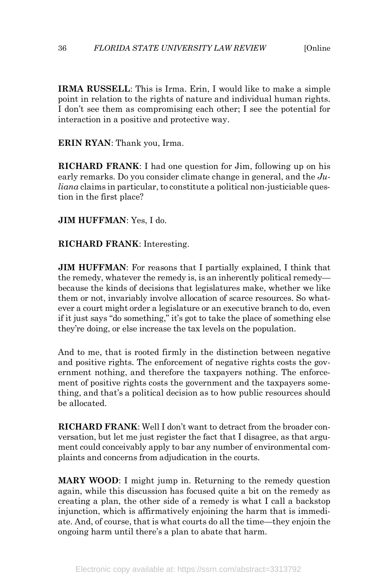#### 36 *FLORIDA STATE UNIVERSITY LAW REVIEW* [Online

**IRMA RUSSELL**: This is Irma. Erin, I would like to make a simple point in relation to the rights of nature and individual human rights. I don't see them as compromising each other; I see the potential for interaction in a positive and protective way.

**ERIN RYAN**: Thank you, Irma.

**RICHARD FRANK**: I had one question for Jim, following up on his early remarks. Do you consider climate change in general, and the *Juliana* claims in particular, to constitute a political non-justiciable question in the first place?

**JIM HUFFMAN**: Yes, I do.

**RICHARD FRANK**: Interesting.

**JIM HUFFMAN**: For reasons that I partially explained, I think that the remedy, whatever the remedy is, is an inherently political remedy because the kinds of decisions that legislatures make, whether we like them or not, invariably involve allocation of scarce resources. So whatever a court might order a legislature or an executive branch to do, even if it just says "do something," it's got to take the place of something else they're doing, or else increase the tax levels on the population.

And to me, that is rooted firmly in the distinction between negative and positive rights. The enforcement of negative rights costs the government nothing, and therefore the taxpayers nothing. The enforcement of positive rights costs the government and the taxpayers something, and that's a political decision as to how public resources should be allocated.

**RICHARD FRANK**: Well I don't want to detract from the broader conversation, but let me just register the fact that I disagree, as that argument could conceivably apply to bar any number of environmental complaints and concerns from adjudication in the courts.

**MARY WOOD**: I might jump in. Returning to the remedy question again, while this discussion has focused quite a bit on the remedy as creating a plan, the other side of a remedy is what I call a backstop injunction, which is affirmatively enjoining the harm that is immediate. And, of course, that is what courts do all the time—they enjoin the ongoing harm until there's a plan to abate that harm.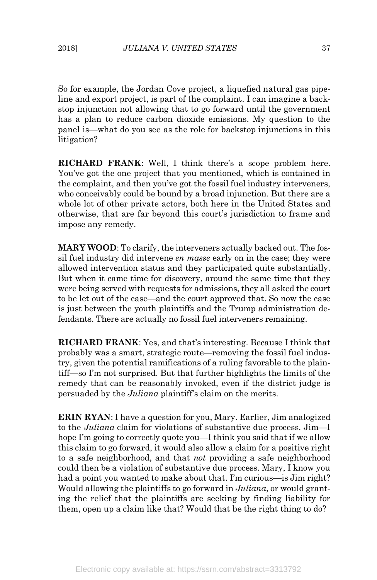So for example, the Jordan Cove project, a liquefied natural gas pipeline and export project, is part of the complaint. I can imagine a backstop injunction not allowing that to go forward until the government has a plan to reduce carbon dioxide emissions. My question to the panel is—what do you see as the role for backstop injunctions in this litigation?

**RICHARD FRANK**: Well, I think there's a scope problem here. You've got the one project that you mentioned, which is contained in the complaint, and then you've got the fossil fuel industry interveners, who conceivably could be bound by a broad injunction. But there are a whole lot of other private actors, both here in the United States and otherwise, that are far beyond this court's jurisdiction to frame and impose any remedy.

**MARY WOOD**: To clarify, the interveners actually backed out. The fossil fuel industry did intervene *en masse* early on in the case; they were allowed intervention status and they participated quite substantially. But when it came time for discovery, around the same time that they were being served with requests for admissions, they all asked the court to be let out of the case—and the court approved that. So now the case is just between the youth plaintiffs and the Trump administration defendants. There are actually no fossil fuel interveners remaining.

**RICHARD FRANK**: Yes, and that's interesting. Because I think that probably was a smart, strategic route—removing the fossil fuel industry, given the potential ramifications of a ruling favorable to the plaintiff—so I'm not surprised. But that further highlights the limits of the remedy that can be reasonably invoked, even if the district judge is persuaded by the *Juliana* plaintiff's claim on the merits.

**ERIN RYAN**: I have a question for you, Mary. Earlier, Jim analogized to the *Juliana* claim for violations of substantive due process. Jim—I hope I'm going to correctly quote you—I think you said that if we allow this claim to go forward, it would also allow a claim for a positive right to a safe neighborhood, and that *not* providing a safe neighborhood could then be a violation of substantive due process. Mary, I know you had a point you wanted to make about that. I'm curious—is Jim right? Would allowing the plaintiffs to go forward in *Juliana*, or would granting the relief that the plaintiffs are seeking by finding liability for them, open up a claim like that? Would that be the right thing to do?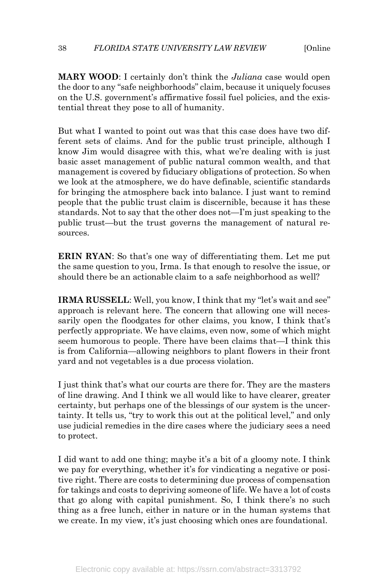**MARY WOOD**: I certainly don't think the *Juliana* case would open the door to any "safe neighborhoods" claim, because it uniquely focuses on the U.S. government's affirmative fossil fuel policies, and the existential threat they pose to all of humanity.

But what I wanted to point out was that this case does have two different sets of claims. And for the public trust principle, although I know Jim would disagree with this, what we're dealing with is just basic asset management of public natural common wealth, and that management is covered by fiduciary obligations of protection. So when we look at the atmosphere, we do have definable, scientific standards for bringing the atmosphere back into balance. I just want to remind people that the public trust claim is discernible, because it has these standards. Not to say that the other does not—I'm just speaking to the public trust—but the trust governs the management of natural resources.

**ERIN RYAN**: So that's one way of differentiating them. Let me put the same question to you, Irma. Is that enough to resolve the issue, or should there be an actionable claim to a safe neighborhood as well?

**IRMA RUSSELL:** Well, you know, I think that my "let's wait and see" approach is relevant here. The concern that allowing one will necessarily open the floodgates for other claims, you know, I think that's perfectly appropriate. We have claims, even now, some of which might seem humorous to people. There have been claims that—I think this is from California—allowing neighbors to plant flowers in their front yard and not vegetables is a due process violation.

I just think that's what our courts are there for. They are the masters of line drawing. And I think we all would like to have clearer, greater certainty, but perhaps one of the blessings of our system is the uncertainty. It tells us, "try to work this out at the political level," and only use judicial remedies in the dire cases where the judiciary sees a need to protect.

I did want to add one thing; maybe it's a bit of a gloomy note. I think we pay for everything, whether it's for vindicating a negative or positive right. There are costs to determining due process of compensation for takings and costs to depriving someone of life. We have a lot of costs that go along with capital punishment. So, I think there's no such thing as a free lunch, either in nature or in the human systems that we create. In my view, it's just choosing which ones are foundational.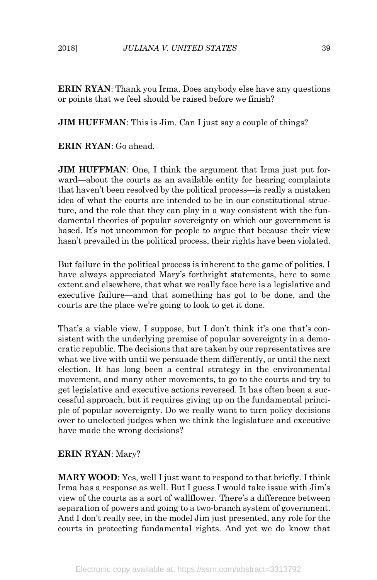**ERIN RYAN**: Thank you Irma. Does anybody else have any questions or points that we feel should be raised before we finish?

**JIM HUFFMAN**: This is Jim. Can I just say a couple of things?

**ERIN RYAN**: Go ahead.

**JIM HUFFMAN**: One, I think the argument that Irma just put forward—about the courts as an available entity for hearing complaints that haven't been resolved by the political process—is really a mistaken idea of what the courts are intended to be in our constitutional structure, and the role that they can play in a way consistent with the fundamental theories of popular sovereignty on which our government is based. It's not uncommon for people to argue that because their view hasn't prevailed in the political process, their rights have been violated.

But failure in the political process is inherent to the game of politics. I have always appreciated Mary's forthright statements, here to some extent and elsewhere, that what we really face here is a legislative and executive failure—and that something has got to be done, and the courts are the place we're going to look to get it done.

That's a viable view, I suppose, but I don't think it's one that's consistent with the underlying premise of popular sovereignty in a democratic republic. The decisions that are taken by our representatives are what we live with until we persuade them differently, or until the next election. It has long been a central strategy in the environmental movement, and many other movements, to go to the courts and try to get legislative and executive actions reversed. It has often been a successful approach, but it requires giving up on the fundamental principle of popular sovereignty. Do we really want to turn policy decisions over to unelected judges when we think the legislature and executive have made the wrong decisions?

## **ERIN RYAN**: Mary?

**MARY WOOD**: Yes, well I just want to respond to that briefly. I think Irma has a response as well. But I guess I would take issue with Jim's view of the courts as a sort of wallflower. There's a difference between separation of powers and going to a two-branch system of government. And I don't really see, in the model Jim just presented, any role for the courts in protecting fundamental rights. And yet we do know that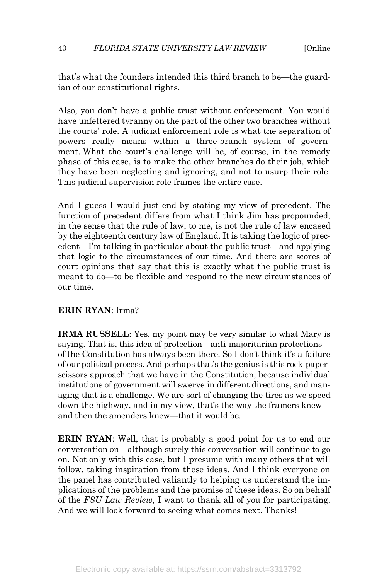#### 40 *FLORIDA STATE UNIVERSITY LAW REVIEW* [Online

that's what the founders intended this third branch to be—the guardian of our constitutional rights.

Also, you don't have a public trust without enforcement. You would have unfettered tyranny on the part of the other two branches without the courts' role. A judicial enforcement role is what the separation of powers really means within a three-branch system of government. What the court's challenge will be, of course, in the remedy phase of this case, is to make the other branches do their job, which they have been neglecting and ignoring, and not to usurp their role. This judicial supervision role frames the entire case.

And I guess I would just end by stating my view of precedent. The function of precedent differs from what I think Jim has propounded, in the sense that the rule of law, to me, is not the rule of law encased by the eighteenth century law of England. It is taking the logic of precedent—I'm talking in particular about the public trust—and applying that logic to the circumstances of our time. And there are scores of court opinions that say that this is exactly what the public trust is meant to do—to be flexible and respond to the new circumstances of our time.

## **ERIN RYAN**: Irma?

**IRMA RUSSELL**: Yes, my point may be very similar to what Mary is saying. That is, this idea of protection—anti-majoritarian protections of the Constitution has always been there. So I don't think it's a failure of our political process. And perhaps that's the genius is this rock-paperscissors approach that we have in the Constitution, because individual institutions of government will swerve in different directions, and managing that is a challenge. We are sort of changing the tires as we speed down the highway, and in my view, that's the way the framers knew and then the amenders knew—that it would be.

**ERIN RYAN:** Well, that is probably a good point for us to end our conversation on—although surely this conversation will continue to go on. Not only with this case, but I presume with many others that will follow, taking inspiration from these ideas. And I think everyone on the panel has contributed valiantly to helping us understand the implications of the problems and the promise of these ideas. So on behalf of the *FSU Law Review*, I want to thank all of you for participating. And we will look forward to seeing what comes next. Thanks!